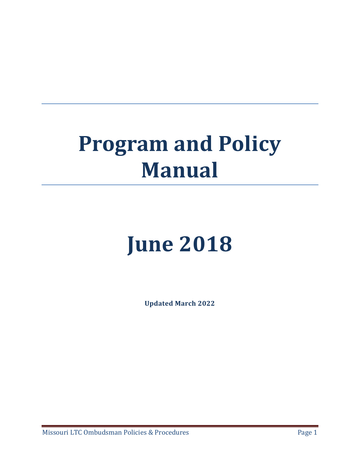# **Program and Policy Manual**

# **June 2018**

**Updated March 2022**

Missouri LTC Ombudsman Policies & Procedures **Page 1** Page 1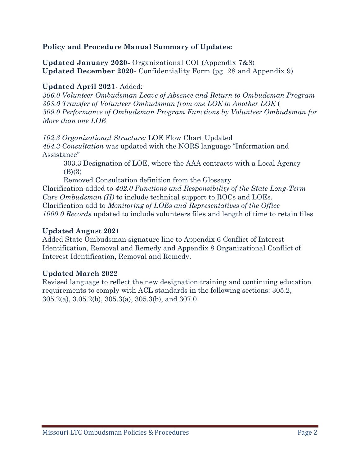#### **Policy and Procedure Manual Summary of Updates:**

**Updated January 2020-** Organizational COI (Appendix 7&8) **Updated December 2020**- Confidentiality Form (pg. 28 and Appendix 9)

#### **Updated April 2021**- Added:

*306.0 Volunteer Ombudsman Leave of Absence and Return to Ombudsman Program 308.0 Transfer of Volunteer Ombudsman from one LOE to Another LOE* ( *309.0 Performance of Ombudsman Program Functions by Volunteer Ombudsman for More than one LOE*

*102.3 Organizational Structure:* LOE Flow Chart Updated

*404.3 Consultation* was updated with the NORS language "Information and Assistance"

303.3 Designation of LOE, where the AAA contracts with a Local Agency (B)(3)

Removed Consultation definition from the Glossary Clarification added to *402.0 Functions and Responsibility of the State Long-Term Care Ombudsman (H)* to include technical support to ROCs and LOEs. Clarification add to *Monitoring of LOEs and Representatives of the Office 1000.0 Records* updated to include volunteers files and length of time to retain files

#### **Updated August 2021**

Added State Ombudsman signature line to Appendix 6 Conflict of Interest Identification, Removal and Remedy and Appendix 8 Organizational Conflict of Interest Identification, Removal and Remedy.

#### **Updated March 2022**

Revised language to reflect the new designation training and continuing education requirements to comply with ACL standards in the following sections: 305.2, 305.2(a), 3.05.2(b), 305.3(a), 305.3(b), and 307.0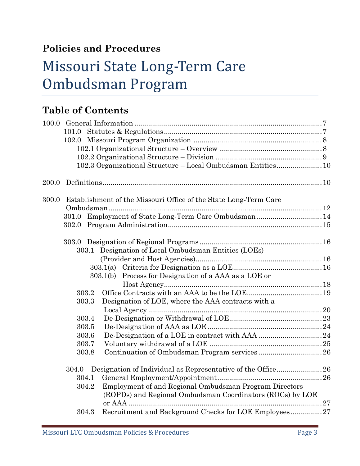# **Policies and Procedures**

# Missouri State Long-Term Care Ombudsman Program

# **Table of Contents**

|       | 101.0 |                                                                  |  |
|-------|-------|------------------------------------------------------------------|--|
|       |       |                                                                  |  |
|       |       |                                                                  |  |
|       |       |                                                                  |  |
|       |       | 102.3 Organizational Structure - Local Ombudsman Entities10      |  |
| 200.0 |       |                                                                  |  |
| 300.0 |       | Establishment of the Missouri Office of the State Long-Term Care |  |
|       |       |                                                                  |  |
|       |       | 301.0 Employment of State Long-Term Care Ombudsman 14            |  |
|       |       |                                                                  |  |
|       |       |                                                                  |  |
|       | 303.1 | Designation of Local Ombudsman Entities (LOEs)                   |  |
|       |       |                                                                  |  |
|       |       |                                                                  |  |
|       |       | 303.1(b) Process for Designation of a AAA as a LOE or            |  |
|       |       |                                                                  |  |
|       | 303.2 |                                                                  |  |
|       | 303.3 | Designation of LOE, where the AAA contracts with a               |  |
|       |       |                                                                  |  |
|       | 303.4 |                                                                  |  |
|       | 303.5 |                                                                  |  |
|       | 303.6 |                                                                  |  |
|       | 303.7 |                                                                  |  |
|       | 303.8 |                                                                  |  |
|       | 304.0 | Designation of Individual as Representative of the Office26      |  |
|       | 304.1 |                                                                  |  |
|       | 304.2 | Employment of and Regional Ombudsman Program Directors           |  |
|       |       | (ROPDs) and Regional Ombudsman Coordinators (ROCs) by LOE        |  |
|       |       |                                                                  |  |
|       | 304.3 | Recruitment and Background Checks for LOE Employees27            |  |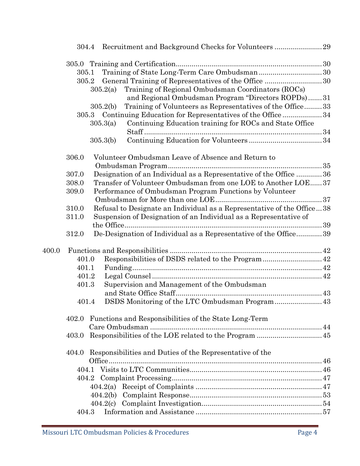|       | 305.1                                                             |          |                                                                        |  |  |
|-------|-------------------------------------------------------------------|----------|------------------------------------------------------------------------|--|--|
|       |                                                                   |          | 305.2 General Training of Representatives of the Office 30             |  |  |
|       |                                                                   | 305.2(a) | Training of Regional Ombudsman Coordinators (ROCs)                     |  |  |
|       |                                                                   |          | and Regional Ombudsman Program "Directors ROPDs)31                     |  |  |
|       |                                                                   | 305.2(b) | Training of Volunteers as Representatives of the Office33              |  |  |
|       |                                                                   |          | 305.3 Continuing Education for Representatives of the Office  34       |  |  |
|       |                                                                   | 305.3(a) | Continuing Education training for ROCs and State Office                |  |  |
|       |                                                                   |          |                                                                        |  |  |
|       |                                                                   | 305.3(b) |                                                                        |  |  |
|       | 306.0                                                             |          | Volunteer Ombudsman Leave of Absence and Return to                     |  |  |
|       |                                                                   |          |                                                                        |  |  |
|       | 307.0                                                             |          | Designation of an Individual as a Representative of the Office 36      |  |  |
|       | 308.0                                                             |          | Transfer of Volunteer Ombudsman from one LOE to Another LOE37          |  |  |
|       | 309.0                                                             |          | Performance of Ombudsman Program Functions by Volunteer                |  |  |
|       |                                                                   |          |                                                                        |  |  |
|       | 310.0                                                             |          | Refusal to Designate an Individual as a Representative of the Office38 |  |  |
|       | 311.0                                                             |          | Suspension of Designation of an Individual as a Representative of      |  |  |
|       |                                                                   |          |                                                                        |  |  |
|       | 312.0                                                             |          | De-Designation of Individual as a Representative of the Office39       |  |  |
| 400.0 |                                                                   |          |                                                                        |  |  |
|       | 401.0                                                             |          |                                                                        |  |  |
|       | 401.1                                                             |          |                                                                        |  |  |
|       | 401.2                                                             |          |                                                                        |  |  |
|       | 401.3                                                             |          | Supervision and Management of the Ombudsman                            |  |  |
|       |                                                                   |          |                                                                        |  |  |
|       | 401.4                                                             |          | DSDS Monitoring of the LTC Ombudsman Program 43                        |  |  |
|       | 402.0                                                             |          | Functions and Responsibilities of the State Long-Term                  |  |  |
|       |                                                                   |          |                                                                        |  |  |
|       | 403.0                                                             |          |                                                                        |  |  |
|       | Responsibilities and Duties of the Representative of the<br>404.0 |          |                                                                        |  |  |
|       |                                                                   |          |                                                                        |  |  |
|       |                                                                   |          |                                                                        |  |  |
|       |                                                                   |          |                                                                        |  |  |
|       |                                                                   |          |                                                                        |  |  |
|       |                                                                   |          |                                                                        |  |  |
|       |                                                                   |          |                                                                        |  |  |
|       | 404.3                                                             |          |                                                                        |  |  |
|       |                                                                   |          |                                                                        |  |  |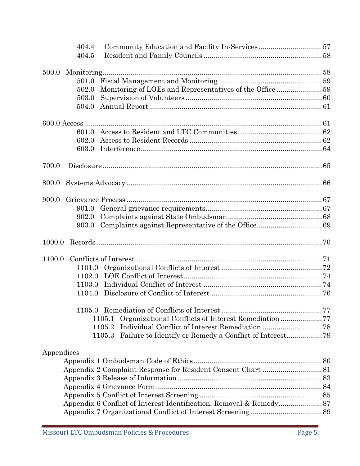|            | 404.4  |        |  |
|------------|--------|--------|--|
|            | 404.5  |        |  |
| 500.0      |        |        |  |
|            | 501.0  |        |  |
|            | 502.0  |        |  |
|            | 503.0  |        |  |
|            | 504.0  |        |  |
|            |        |        |  |
|            |        |        |  |
|            | 602.0  |        |  |
|            | 603.0  |        |  |
| 700.0      |        |        |  |
| 800.0      |        |        |  |
|            |        |        |  |
| 900.0      |        |        |  |
|            | 901.0  |        |  |
|            | 902.0  |        |  |
|            | 903.0  |        |  |
| 1000.0     |        |        |  |
| 1100.0     |        |        |  |
|            | 1101.0 |        |  |
|            | 1102.0 |        |  |
|            | 1103.0 |        |  |
|            | 1104.0 |        |  |
|            |        |        |  |
|            |        | 1105.1 |  |
|            |        | 1105.2 |  |
|            |        | 1105.3 |  |
| Appendices |        |        |  |
|            |        |        |  |
|            |        |        |  |
|            |        |        |  |
|            |        |        |  |
|            |        |        |  |
|            |        |        |  |
|            |        |        |  |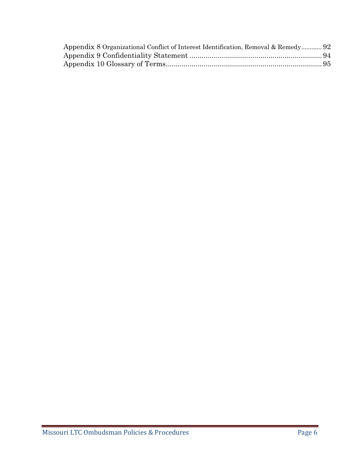| Appendix 8 Organizational Conflict of Interest Identification, Removal & Remedy 92 |  |
|------------------------------------------------------------------------------------|--|
|                                                                                    |  |
|                                                                                    |  |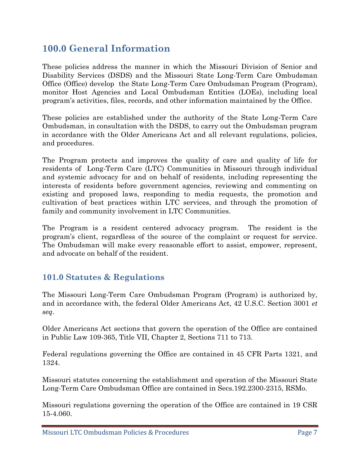# **100.0 General Information**

These policies address the manner in which the Missouri Division of Senior and Disability Services (DSDS) and the Missouri State Long-Term Care Ombudsman Office (Office) develop the State Long-Term Care Ombudsman Program (Program), monitor Host Agencies and Local Ombudsman Entities (LOEs), including local program's activities, files, records, and other information maintained by the Office.

These policies are established under the authority of the State Long-Term Care Ombudsman, in consultation with the DSDS, to carry out the Ombudsman program in accordance with the Older Americans Act and all relevant regulations, policies, and procedures.

The Program protects and improves the quality of care and quality of life for residents of Long-Term Care (LTC) Communities in Missouri through individual and systemic advocacy for and on behalf of residents, including representing the interests of residents before government agencies, reviewing and commenting on existing and proposed laws, responding to media requests, the promotion and cultivation of best practices within LTC services, and through the promotion of family and community involvement in LTC Communities.

The Program is a resident centered advocacy program. The resident is the program's client, regardless of the source of the complaint or request for service. The Ombudsman will make every reasonable effort to assist, empower, represent, and advocate on behalf of the resident.

#### **101.0 Statutes & Regulations**

The Missouri Long-Term Care Ombudsman Program (Program) is authorized by, and in accordance with, the federal Older Americans Act, 42 U.S.C. Section 3001 *et seq*.

Older Americans Act sections that govern the operation of the Office are contained in Public Law 109-365, Title VII, Chapter 2, Sections 711 to 713.

Federal regulations governing the Office are contained in 45 CFR Parts 1321, and 1324.

Missouri statutes concerning the establishment and operation of the Missouri State Long-Term Care Ombudsman Office are contained in Secs.192.2300-2315, RSMo.

Missouri regulations governing the operation of the Office are contained in 19 CSR 15-4.060.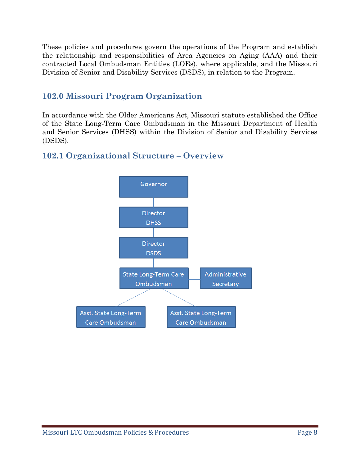These policies and procedures govern the operations of the Program and establish the relationship and responsibilities of Area Agencies on Aging (AAA) and their contracted Local Ombudsman Entities (LOEs), where applicable, and the Missouri Division of Senior and Disability Services (DSDS), in relation to the Program.

#### **102.0 Missouri Program Organization**

In accordance with the Older Americans Act, Missouri statute established the Office of the State Long-Term Care Ombudsman in the Missouri Department of Health and Senior Services (DHSS) within the Division of Senior and Disability Services (DSDS).



#### **102.1 Organizational Structure – Overview**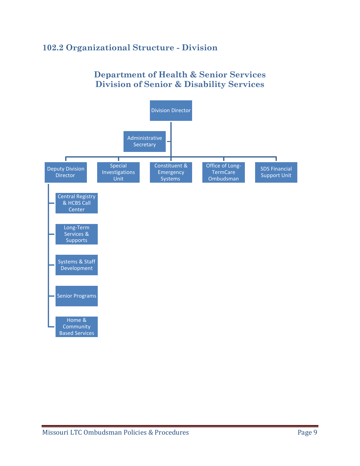#### **102.2 Organizational Structure - Division**

#### **Department of Health & Senior Services Division of Senior & Disability Services**

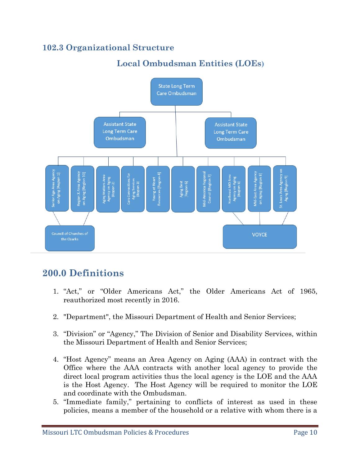#### **102.3 Organizational Structure**

# **Local Ombudsman Entities (LOEs)**



#### **200.0 Definitions**

- 1. "Act," or "Older Americans Act," the Older Americans Act of 1965, reauthorized most recently in 2016.
- 2. "Department", the Missouri Department of Health and Senior Services;
- 3. "Division" or "Agency," The Division of Senior and Disability Services, within the Missouri Department of Health and Senior Services;
- 4. "Host Agency" means an Area Agency on Aging (AAA) in contract with the Office where the AAA contracts with another local agency to provide the direct local program activities thus the local agency is the LOE and the AAA is the Host Agency. The Host Agency will be required to monitor the LOE and coordinate with the Ombudsman.
- 5. "Immediate family," pertaining to conflicts of interest as used in these policies, means a member of the household or a relative with whom there is a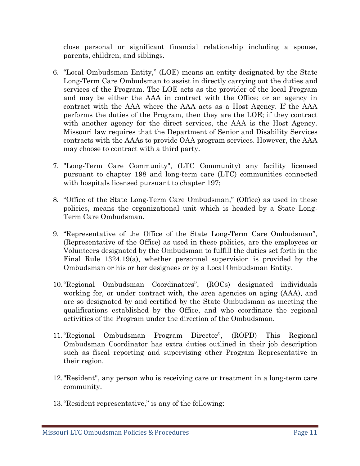close personal or significant financial relationship including a spouse, parents, children, and siblings.

- 6. "Local Ombudsman Entity," (LOE) means an entity designated by the State Long-Term Care Ombudsman to assist in directly carrying out the duties and services of the Program. The LOE acts as the provider of the local Program and may be either the AAA in contract with the Office; or an agency in contract with the AAA where the AAA acts as a Host Agency. If the AAA performs the duties of the Program, then they are the LOE; if they contract with another agency for the direct services, the AAA is the Host Agency. Missouri law requires that the Department of Senior and Disability Services contracts with the AAAs to provide OAA program services. However, the AAA may choose to contract with a third party.
- 7. "Long-Term Care Community", (LTC Community) any facility licensed pursuant to chapter 198 and long-term care (LTC) communities connected with hospitals licensed pursuant to chapter 197;
- 8. "Office of the State Long-Term Care Ombudsman," (Office) as used in these policies, means the organizational unit which is headed by a State Long-Term Care Ombudsman.
- 9. "Representative of the Office of the State Long-Term Care Ombudsman", (Representative of the Office) as used in these policies, are the employees or Volunteers designated by the Ombudsman to fulfill the duties set forth in the Final Rule 1324.19(a), whether personnel supervision is provided by the Ombudsman or his or her designees or by a Local Ombudsman Entity.
- 10."Regional Ombudsman Coordinators", (ROCs) designated individuals working for, or under contract with, the area agencies on aging (AAA), and are so designated by and certified by the State Ombudsman as meeting the qualifications established by the Office, and who coordinate the regional activities of the Program under the direction of the Ombudsman.
- 11."Regional Ombudsman Program Director", (ROPD) This Regional Ombudsman Coordinator has extra duties outlined in their job description such as fiscal reporting and supervising other Program Representative in their region.
- 12."Resident", any person who is receiving care or treatment in a long-term care community.
- 13."Resident representative," is any of the following: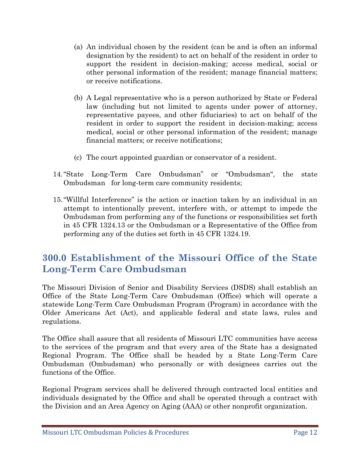- (a) An individual chosen by the resident (can be and is often an informal designation by the resident) to act on behalf of the resident in order to support the resident in decision-making; access medical, social or other personal information of the resident; manage financial matters; or receive notifications.
- (b) A Legal representative who is a person authorized by State or Federal law (including but not limited to agents under power of attorney, representative payees, and other fiduciaries) to act on behalf of the resident in order to support the resident in decision-making; access medical, social or other personal information of the resident; manage financial matters; or receive notifications;
- (c) The court appointed guardian or conservator of a resident.
- 14."State Long-Term Care Ombudsman" or "Ombudsman", the state Ombudsman for long-term care community residents;
- 15."Willful Interference" is the action or inaction taken by an individual in an attempt to intentionally prevent, interfere with, or attempt to impede the Ombudsman from performing any of the functions or responsibilities set forth in 45 CFR 1324.13 or the Ombudsman or a Representative of the Office from performing any of the duties set forth in 45 CFR 1324.19.

# **300.0 Establishment of the Missouri Office of the State Long-Term Care Ombudsman**

The Missouri Division of Senior and Disability Services (DSDS) shall establish an Office of the State Long-Term Care Ombudsman (Office) which will operate a statewide Long-Term Care Ombudsman Program (Program) in accordance with the Older Americans Act (Act), and applicable federal and state laws, rules and regulations.

The Office shall assure that all residents of Missouri LTC communities have access to the services of the program and that every area of the State has a designated Regional Program. The Office shall be headed by a State Long-Term Care Ombudsman (Ombudsman) who personally or with designees carries out the functions of the Office.

Regional Program services shall be delivered through contracted local entities and individuals designated by the Office and shall be operated through a contract with the Division and an Area Agency on Aging (AAA) or other nonprofit organization.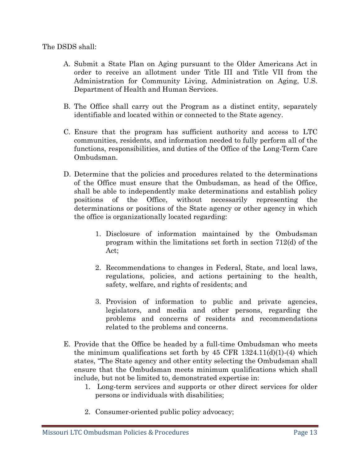The DSDS shall:

- A. Submit a State Plan on Aging pursuant to the Older Americans Act in order to receive an allotment under Title III and Title VII from the Administration for Community Living, Administration on Aging, U.S. Department of Health and Human Services.
- B. The Office shall carry out the Program as a distinct entity, separately identifiable and located within or connected to the State agency.
- C. Ensure that the program has sufficient authority and access to LTC communities, residents, and information needed to fully perform all of the functions, responsibilities, and duties of the Office of the Long-Term Care Ombudsman.
- D. Determine that the policies and procedures related to the determinations of the Office must ensure that the Ombudsman, as head of the Office, shall be able to independently make determinations and establish policy positions of the Office, without necessarily representing the determinations or positions of the State agency or other agency in which the office is organizationally located regarding:
	- 1. Disclosure of information maintained by the Ombudsman program within the limitations set forth in section 712(d) of the Act;
	- 2. Recommendations to changes in Federal, State, and local laws, regulations, policies, and actions pertaining to the health, safety, welfare, and rights of residents; and
	- 3. Provision of information to public and private agencies, legislators, and media and other persons, regarding the problems and concerns of residents and recommendations related to the problems and concerns.
- E. Provide that the Office be headed by a full-time Ombudsman who meets the minimum qualifications set forth by  $45$  CFR  $1324.11(d)(1)-(4)$  which states, "The State agency and other entity selecting the Ombudsman shall ensure that the Ombudsman meets minimum qualifications which shall include, but not be limited to, demonstrated expertise in:
	- 1. Long-term services and supports or other direct services for older persons or individuals with disabilities;
	- 2. Consumer-oriented public policy advocacy;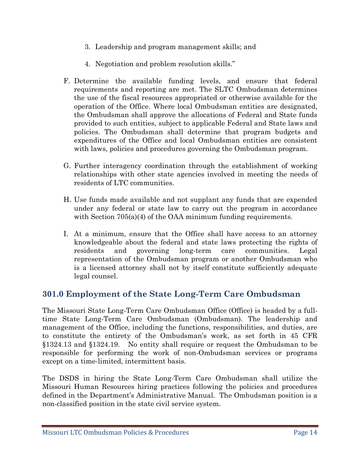- 3. Leadership and program management skills; and
- 4. Negotiation and problem resolution skills."
- F. Determine the available funding levels, and ensure that federal requirements and reporting are met. The SLTC Ombudsman determines the use of the fiscal resources appropriated or otherwise available for the operation of the Office. Where local Ombudsman entities are designated, the Ombudsman shall approve the allocations of Federal and State funds provided to such entities, subject to applicable Federal and State laws and policies. The Ombudsman shall determine that program budgets and expenditures of the Office and local Ombudsman entities are consistent with laws, policies and procedures governing the Ombudsman program.
- G. Further interagency coordination through the establishment of working relationships with other state agencies involved in meeting the needs of residents of LTC communities.
- H. Use funds made available and not supplant any funds that are expended under any federal or state law to carry out the program in accordance with Section 705(a)(4) of the OAA minimum funding requirements.
- I. At a minimum, ensure that the Office shall have access to an attorney knowledgeable about the federal and state laws protecting the rights of residents and governing long-term care communities. Legal representation of the Ombudsman program or another Ombudsman who is a licensed attorney shall not by itself constitute sufficiently adequate legal counsel.

#### **301.0 Employment of the State Long-Term Care Ombudsman**

The Missouri State Long-Term Care Ombudsman Office (Office) is headed by a fulltime State Long-Term Care Ombudsman (Ombudsman). The leadership and management of the Office, including the functions, responsibilities, and duties, are to constitute the entirety of the Ombudsman's work, as set forth in 45 CFR §1324.13 and §1324.19. No entity shall require or request the Ombudsman to be responsible for performing the work of non-Ombudsman services or programs except on a time-limited, intermittent basis.

The DSDS in hiring the State Long-Term Care Ombudsman shall utilize the Missouri Human Resources hiring practices following the policies and procedures defined in the Department's Administrative Manual. The Ombudsman position is a non-classified position in the state civil service system.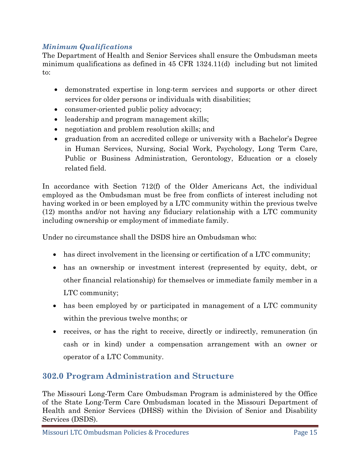#### *Minimum Qualifications*

The Department of Health and Senior Services shall ensure the Ombudsman meets minimum qualifications as defined in 45 CFR 1324.11(d) including but not limited to:

- demonstrated expertise in long-term services and supports or other direct services for older persons or individuals with disabilities;
- consumer-oriented public policy advocacy;
- leadership and program management skills;
- negotiation and problem resolution skills; and
- graduation from an accredited college or university with a Bachelor's Degree in Human Services, Nursing, Social Work, Psychology, Long Term Care, Public or Business Administration, Gerontology, Education or a closely related field.

In accordance with Section 712(f) of the Older Americans Act, the individual employed as the Ombudsman must be free from conflicts of interest including not having worked in or been employed by a LTC community within the previous twelve (12) months and/or not having any fiduciary relationship with a LTC community including ownership or employment of immediate family.

Under no circumstance shall the DSDS hire an Ombudsman who:

- has direct involvement in the licensing or certification of a LTC community;
- has an ownership or investment interest (represented by equity, debt, or other financial relationship) for themselves or immediate family member in a LTC community;
- has been employed by or participated in management of a LTC community within the previous twelve months; or
- receives, or has the right to receive, directly or indirectly, remuneration (in cash or in kind) under a compensation arrangement with an owner or operator of a LTC Community.

#### **302.0 Program Administration and Structure**

The Missouri Long-Term Care Ombudsman Program is administered by the Office of the State Long-Term Care Ombudsman located in the Missouri Department of Health and Senior Services (DHSS) within the Division of Senior and Disability Services (DSDS).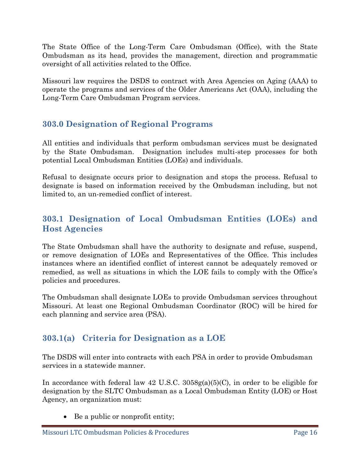The State Office of the Long-Term Care Ombudsman (Office), with the State Ombudsman as its head, provides the management, direction and programmatic oversight of all activities related to the Office.

Missouri law requires the DSDS to contract with Area Agencies on Aging (AAA) to operate the programs and services of the Older Americans Act (OAA), including the Long-Term Care Ombudsman Program services.

#### **303.0 Designation of Regional Programs**

All entities and individuals that perform ombudsman services must be designated by the State Ombudsman. Designation includes multi-step processes for both potential Local Ombudsman Entities (LOEs) and individuals.

Refusal to designate occurs prior to designation and stops the process. Refusal to designate is based on information received by the Ombudsman including, but not limited to, an un-remedied conflict of interest.

#### **303.1 Designation of Local Ombudsman Entities (LOEs) and Host Agencies**

The State Ombudsman shall have the authority to designate and refuse, suspend, or remove designation of LOEs and Representatives of the Office. This includes instances where an identified conflict of interest cannot be adequately removed or remedied, as well as situations in which the LOE fails to comply with the Office's policies and procedures.

The Ombudsman shall designate LOEs to provide Ombudsman services throughout Missouri. At least one Regional Ombudsman Coordinator (ROC) will be hired for each planning and service area (PSA).

#### **303.1(a) Criteria for Designation as a LOE**

The DSDS will enter into contracts with each PSA in order to provide Ombudsman services in a statewide manner.

In accordance with federal law 42 U.S.C. 3058g(a)(5)(C), in order to be eligible for designation by the SLTC Ombudsman as a Local Ombudsman Entity (LOE) or Host Agency, an organization must:

• Be a public or nonprofit entity;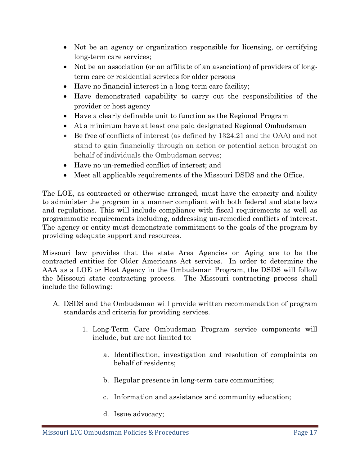- Not be an agency or organization responsible for licensing, or certifying long-term care services;
- Not be an association (or an affiliate of an association) of providers of longterm care or residential services for older persons
- Have no financial interest in a long-term care facility;
- Have demonstrated capability to carry out the responsibilities of the provider or host agency
- Have a clearly definable unit to function as the Regional Program
- At a minimum have at least one paid designated Regional Ombudsman
- Be free of conflicts of interest (as defined by 1324.21 and the OAA) and not stand to gain financially through an action or potential action brought on behalf of individuals the Ombudsman serves;
- Have no un-remedied conflict of interest; and
- Meet all applicable requirements of the Missouri DSDS and the Office.

The LOE, as contracted or otherwise arranged, must have the capacity and ability to administer the program in a manner compliant with both federal and state laws and regulations. This will include compliance with fiscal requirements as well as programmatic requirements including, addressing un-remedied conflicts of interest. The agency or entity must demonstrate commitment to the goals of the program by providing adequate support and resources.

Missouri law provides that the state Area Agencies on Aging are to be the contracted entities for Older Americans Act services. In order to determine the AAA as a LOE or Host Agency in the Ombudsman Program, the DSDS will follow the Missouri state contracting process. The Missouri contracting process shall include the following:

- A. DSDS and the Ombudsman will provide written recommendation of program standards and criteria for providing services.
	- 1. Long-Term Care Ombudsman Program service components will include, but are not limited to:
		- a. Identification, investigation and resolution of complaints on behalf of residents;
		- b. Regular presence in long-term care communities;
		- c. Information and assistance and community education;
		- d. Issue advocacy;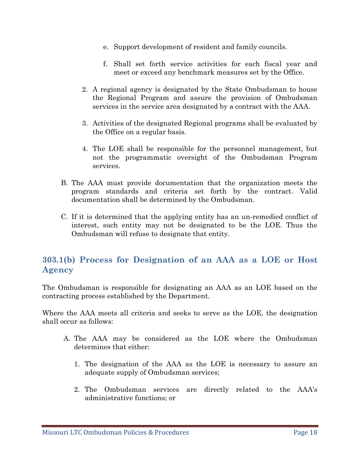- e. Support development of resident and family councils.
- f. Shall set forth service activities for each fiscal year and meet or exceed any benchmark measures set by the Office.
- 2. A regional agency is designated by the State Ombudsman to house the Regional Program and assure the provision of Ombudsman services in the service area designated by a contract with the AAA.
- 3. Activities of the designated Regional programs shall be evaluated by the Office on a regular basis.
- 4. The LOE shall be responsible for the personnel management, but not the programmatic oversight of the Ombudsman Program services.
- B. The AAA must provide documentation that the organization meets the program standards and criteria set forth by the contract. Valid documentation shall be determined by the Ombudsman.
- C. If it is determined that the applying entity has an un-remedied conflict of interest, such entity may not be designated to be the LOE. Thus the Ombudsman will refuse to designate that entity.

#### **303.1(b) Process for Designation of an AAA as a LOE or Host Agency**

The Ombudsman is responsible for designating an AAA as an LOE based on the contracting process established by the Department.

Where the AAA meets all criteria and seeks to serve as the LOE, the designation shall occur as follows:

- A. The AAA may be considered as the LOE where the Ombudsman determines that either:
	- 1. The designation of the AAA as the LOE is necessary to assure an adequate supply of Ombudsman services;
	- 2. The Ombudsman services are directly related to the AAA's administrative functions; or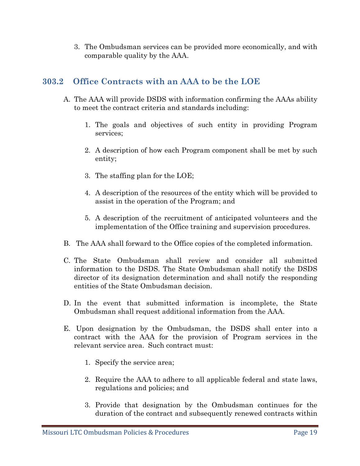3. The Ombudsman services can be provided more economically, and with comparable quality by the AAA.

#### **303.2 Office Contracts with an AAA to be the LOE**

- A. The AAA will provide DSDS with information confirming the AAAs ability to meet the contract criteria and standards including:
	- 1. The goals and objectives of such entity in providing Program services;
	- 2. A description of how each Program component shall be met by such entity;
	- 3. The staffing plan for the LOE;
	- 4. A description of the resources of the entity which will be provided to assist in the operation of the Program; and
	- 5. A description of the recruitment of anticipated volunteers and the implementation of the Office training and supervision procedures.
- B. The AAA shall forward to the Office copies of the completed information.
- C. The State Ombudsman shall review and consider all submitted information to the DSDS. The State Ombudsman shall notify the DSDS director of its designation determination and shall notify the responding entities of the State Ombudsman decision.
- D. In the event that submitted information is incomplete, the State Ombudsman shall request additional information from the AAA.
- E. Upon designation by the Ombudsman, the DSDS shall enter into a contract with the AAA for the provision of Program services in the relevant service area. Such contract must:
	- 1. Specify the service area;
	- 2. Require the AAA to adhere to all applicable federal and state laws, regulations and policies; and
	- 3. Provide that designation by the Ombudsman continues for the duration of the contract and subsequently renewed contracts within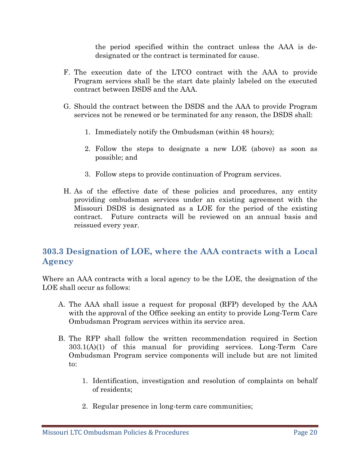the period specified within the contract unless the AAA is dedesignated or the contract is terminated for cause.

- F. The execution date of the LTCO contract with the AAA to provide Program services shall be the start date plainly labeled on the executed contract between DSDS and the AAA.
- G. Should the contract between the DSDS and the AAA to provide Program services not be renewed or be terminated for any reason, the DSDS shall:
	- 1. Immediately notify the Ombudsman (within 48 hours);
	- 2. Follow the steps to designate a new LOE (above) as soon as possible; and
	- 3. Follow steps to provide continuation of Program services.
- H. As of the effective date of these policies and procedures, any entity providing ombudsman services under an existing agreement with the Missouri DSDS is designated as a LOE for the period of the existing contract. Future contracts will be reviewed on an annual basis and reissued every year.

#### **303.3 Designation of LOE, where the AAA contracts with a Local Agency**

Where an AAA contracts with a local agency to be the LOE, the designation of the LOE shall occur as follows:

- A. The AAA shall issue a request for proposal (RFP) developed by the AAA with the approval of the Office seeking an entity to provide Long-Term Care Ombudsman Program services within its service area.
- B. The RFP shall follow the written recommendation required in Section 303.1(A)(1) of this manual for providing services. Long-Term Care Ombudsman Program service components will include but are not limited to:
	- 1. Identification, investigation and resolution of complaints on behalf of residents;
	- 2. Regular presence in long-term care communities;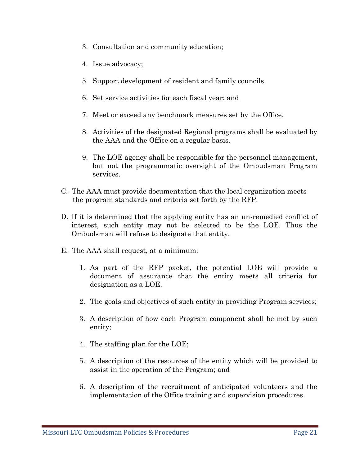- 3. Consultation and community education;
- 4. Issue advocacy;
- 5. Support development of resident and family councils.
- 6. Set service activities for each fiscal year; and
- 7. Meet or exceed any benchmark measures set by the Office.
- 8. Activities of the designated Regional programs shall be evaluated by the AAA and the Office on a regular basis.
- 9. The LOE agency shall be responsible for the personnel management, but not the programmatic oversight of the Ombudsman Program services.
- C. The AAA must provide documentation that the local organization meets the program standards and criteria set forth by the RFP.
- D. If it is determined that the applying entity has an un-remedied conflict of interest, such entity may not be selected to be the LOE. Thus the Ombudsman will refuse to designate that entity.
- E. The AAA shall request, at a minimum:
	- 1. As part of the RFP packet, the potential LOE will provide a document of assurance that the entity meets all criteria for designation as a LOE.
	- 2. The goals and objectives of such entity in providing Program services;
	- 3. A description of how each Program component shall be met by such entity;
	- 4. The staffing plan for the LOE;
	- 5. A description of the resources of the entity which will be provided to assist in the operation of the Program; and
	- 6. A description of the recruitment of anticipated volunteers and the implementation of the Office training and supervision procedures.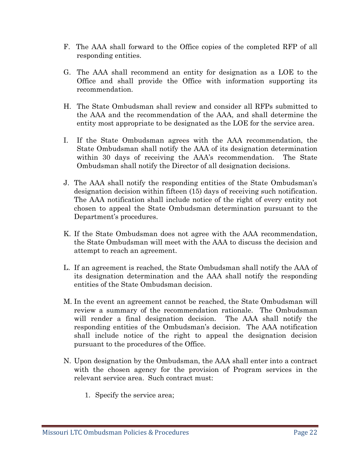- F. The AAA shall forward to the Office copies of the completed RFP of all responding entities.
- G. The AAA shall recommend an entity for designation as a LOE to the Office and shall provide the Office with information supporting its recommendation.
- H. The State Ombudsman shall review and consider all RFPs submitted to the AAA and the recommendation of the AAA, and shall determine the entity most appropriate to be designated as the LOE for the service area.
- I. If the State Ombudsman agrees with the AAA recommendation, the State Ombudsman shall notify the AAA of its designation determination within 30 days of receiving the AAA's recommendation. The State Ombudsman shall notify the Director of all designation decisions.
- J. The AAA shall notify the responding entities of the State Ombudsman's designation decision within fifteen (15) days of receiving such notification. The AAA notification shall include notice of the right of every entity not chosen to appeal the State Ombudsman determination pursuant to the Department's procedures.
- K. If the State Ombudsman does not agree with the AAA recommendation, the State Ombudsman will meet with the AAA to discuss the decision and attempt to reach an agreement.
- L. If an agreement is reached, the State Ombudsman shall notify the AAA of its designation determination and the AAA shall notify the responding entities of the State Ombudsman decision.
- M. In the event an agreement cannot be reached, the State Ombudsman will review a summary of the recommendation rationale. The Ombudsman will render a final designation decision. The AAA shall notify the responding entities of the Ombudsman's decision. The AAA notification shall include notice of the right to appeal the designation decision pursuant to the procedures of the Office.
- N. Upon designation by the Ombudsman, the AAA shall enter into a contract with the chosen agency for the provision of Program services in the relevant service area. Such contract must:
	- 1. Specify the service area;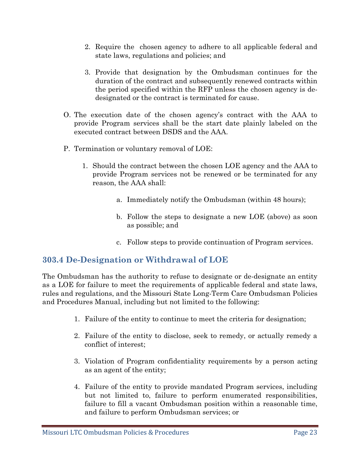- 2. Require the chosen agency to adhere to all applicable federal and state laws, regulations and policies; and
- 3. Provide that designation by the Ombudsman continues for the duration of the contract and subsequently renewed contracts within the period specified within the RFP unless the chosen agency is dedesignated or the contract is terminated for cause.
- O. The execution date of the chosen agency's contract with the AAA to provide Program services shall be the start date plainly labeled on the executed contract between DSDS and the AAA.
- P. Termination or voluntary removal of LOE:
	- 1. Should the contract between the chosen LOE agency and the AAA to provide Program services not be renewed or be terminated for any reason, the AAA shall:
		- a. Immediately notify the Ombudsman (within 48 hours);
		- b. Follow the steps to designate a new LOE (above) as soon as possible; and
		- c. Follow steps to provide continuation of Program services.

#### **303.4 De-Designation or Withdrawal of LOE**

The Ombudsman has the authority to refuse to designate or de-designate an entity as a LOE for failure to meet the requirements of applicable federal and state laws, rules and regulations, and the Missouri State Long-Term Care Ombudsman Policies and Procedures Manual, including but not limited to the following:

- 1. Failure of the entity to continue to meet the criteria for designation;
- 2. Failure of the entity to disclose, seek to remedy, or actually remedy a conflict of interest;
- 3. Violation of Program confidentiality requirements by a person acting as an agent of the entity;
- 4. Failure of the entity to provide mandated Program services, including but not limited to, failure to perform enumerated responsibilities, failure to fill a vacant Ombudsman position within a reasonable time, and failure to perform Ombudsman services; or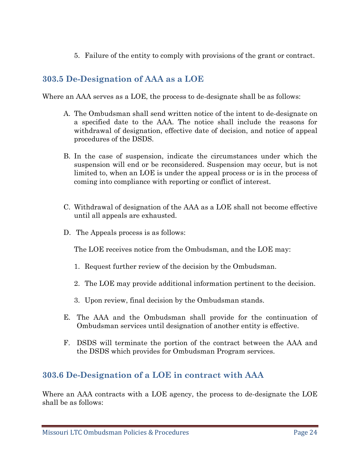5. Failure of the entity to comply with provisions of the grant or contract.

### **303.5 De-Designation of AAA as a LOE**

Where an AAA serves as a LOE, the process to de-designate shall be as follows:

- A. The Ombudsman shall send written notice of the intent to de-designate on a specified date to the AAA. The notice shall include the reasons for withdrawal of designation, effective date of decision, and notice of appeal procedures of the DSDS.
- B. In the case of suspension, indicate the circumstances under which the suspension will end or be reconsidered. Suspension may occur, but is not limited to, when an LOE is under the appeal process or is in the process of coming into compliance with reporting or conflict of interest.
- C. Withdrawal of designation of the AAA as a LOE shall not become effective until all appeals are exhausted.
- D. The Appeals process is as follows:

The LOE receives notice from the Ombudsman, and the LOE may:

- 1. Request further review of the decision by the Ombudsman.
- 2. The LOE may provide additional information pertinent to the decision.
- 3. Upon review, final decision by the Ombudsman stands.
- E. The AAA and the Ombudsman shall provide for the continuation of Ombudsman services until designation of another entity is effective.
- F. DSDS will terminate the portion of the contract between the AAA and the DSDS which provides for Ombudsman Program services.

#### **303.6 De-Designation of a LOE in contract with AAA**

Where an AAA contracts with a LOE agency, the process to de-designate the LOE shall be as follows: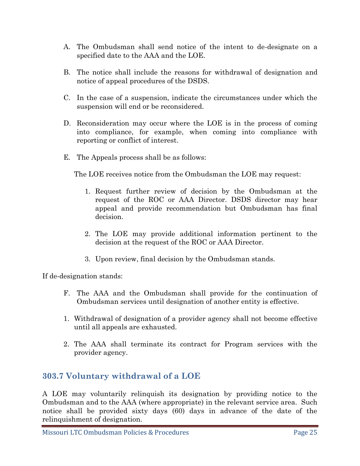- A. The Ombudsman shall send notice of the intent to de-designate on a specified date to the AAA and the LOE.
- B. The notice shall include the reasons for withdrawal of designation and notice of appeal procedures of the DSDS.
- C. In the case of a suspension, indicate the circumstances under which the suspension will end or be reconsidered.
- D. Reconsideration may occur where the LOE is in the process of coming into compliance, for example, when coming into compliance with reporting or conflict of interest.
- E. The Appeals process shall be as follows:

The LOE receives notice from the Ombudsman the LOE may request:

- 1. Request further review of decision by the Ombudsman at the request of the ROC or AAA Director. DSDS director may hear appeal and provide recommendation but Ombudsman has final decision.
- 2. The LOE may provide additional information pertinent to the decision at the request of the ROC or AAA Director.
- 3. Upon review, final decision by the Ombudsman stands.

If de-designation stands:

- F. The AAA and the Ombudsman shall provide for the continuation of Ombudsman services until designation of another entity is effective.
- 1. Withdrawal of designation of a provider agency shall not become effective until all appeals are exhausted.
- 2. The AAA shall terminate its contract for Program services with the provider agency.

#### **303.7 Voluntary withdrawal of a LOE**

A LOE may voluntarily relinquish its designation by providing notice to the Ombudsman and to the AAA (where appropriate) in the relevant service area. Such notice shall be provided sixty days (60) days in advance of the date of the relinquishment of designation.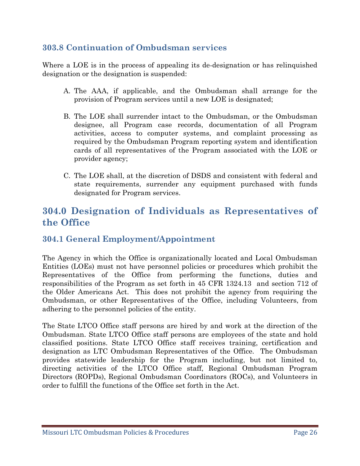#### **303.8 Continuation of Ombudsman services**

Where a LOE is in the process of appealing its de-designation or has relinquished designation or the designation is suspended:

- A. The AAA, if applicable, and the Ombudsman shall arrange for the provision of Program services until a new LOE is designated;
- B. The LOE shall surrender intact to the Ombudsman, or the Ombudsman designee, all Program case records, documentation of all Program activities, access to computer systems, and complaint processing as required by the Ombudsman Program reporting system and identification cards of all representatives of the Program associated with the LOE or provider agency;
- C. The LOE shall, at the discretion of DSDS and consistent with federal and state requirements, surrender any equipment purchased with funds designated for Program services.

### **304.0 Designation of Individuals as Representatives of the Office**

#### **304.1 General Employment/Appointment**

The Agency in which the Office is organizationally located and Local Ombudsman Entities (LOEs) must not have personnel policies or procedures which prohibit the Representatives of the Office from performing the functions, duties and responsibilities of the Program as set forth in 45 CFR 1324.13 and section 712 of the Older Americans Act. This does not prohibit the agency from requiring the Ombudsman, or other Representatives of the Office, including Volunteers, from adhering to the personnel policies of the entity.

The State LTCO Office staff persons are hired by and work at the direction of the Ombudsman. State LTCO Office staff persons are employees of the state and hold classified positions. State LTCO Office staff receives training, certification and designation as LTC Ombudsman Representatives of the Office. The Ombudsman provides statewide leadership for the Program including, but not limited to, directing activities of the LTCO Office staff, Regional Ombudsman Program Directors (ROPDs), Regional Ombudsman Coordinators (ROCs), and Volunteers in order to fulfill the functions of the Office set forth in the Act.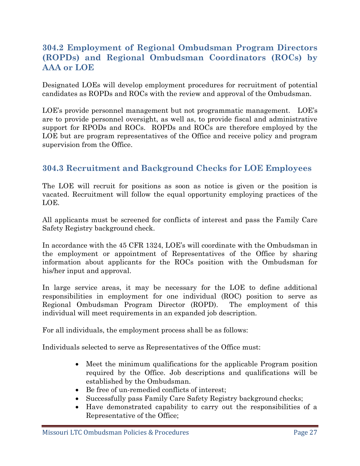#### **304.2 Employment of Regional Ombudsman Program Directors (ROPDs) and Regional Ombudsman Coordinators (ROCs) by AAA or LOE**

Designated LOEs will develop employment procedures for recruitment of potential candidates as ROPDs and ROCs with the review and approval of the Ombudsman.

LOE's provide personnel management but not programmatic management. LOE's are to provide personnel oversight, as well as, to provide fiscal and administrative support for RPODs and ROCs. ROPDs and ROCs are therefore employed by the LOE but are program representatives of the Office and receive policy and program supervision from the Office.

#### **304.3 Recruitment and Background Checks for LOE Employees**

The LOE will recruit for positions as soon as notice is given or the position is vacated. Recruitment will follow the equal opportunity employing practices of the LOE.

All applicants must be screened for conflicts of interest and pass the Family Care Safety Registry background check.

In accordance with the 45 CFR 1324, LOE's will coordinate with the Ombudsman in the employment or appointment of Representatives of the Office by sharing information about applicants for the ROCs position with the Ombudsman for his/her input and approval.

In large service areas, it may be necessary for the LOE to define additional responsibilities in employment for one individual (ROC) position to serve as Regional Ombudsman Program Director (ROPD). The employment of this individual will meet requirements in an expanded job description.

For all individuals, the employment process shall be as follows:

Individuals selected to serve as Representatives of the Office must:

- Meet the minimum qualifications for the applicable Program position required by the Office. Job descriptions and qualifications will be established by the Ombudsman.
- Be free of un-remedied conflicts of interest;
- Successfully pass Family Care Safety Registry background checks;
- Have demonstrated capability to carry out the responsibilities of a Representative of the Office;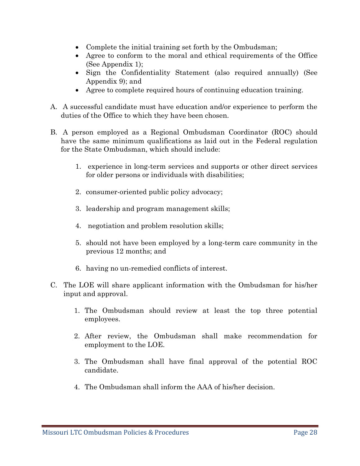- Complete the initial training set forth by the Ombudsman;
- Agree to conform to the moral and ethical requirements of the Office (See Appendix 1);
- Sign the Confidentiality Statement (also required annually) (See Appendix 9); and
- Agree to complete required hours of continuing education training.
- A. A successful candidate must have education and/or experience to perform the duties of the Office to which they have been chosen.
- B. A person employed as a Regional Ombudsman Coordinator (ROC) should have the same minimum qualifications as laid out in the Federal regulation for the State Ombudsman, which should include:
	- 1. experience in long-term services and supports or other direct services for older persons or individuals with disabilities;
	- 2. consumer-oriented public policy advocacy;
	- 3. leadership and program management skills;
	- 4. negotiation and problem resolution skills;
	- 5. should not have been employed by a long-term care community in the previous 12 months; and
	- 6. having no un-remedied conflicts of interest.
- C. The LOE will share applicant information with the Ombudsman for his/her input and approval.
	- 1. The Ombudsman should review at least the top three potential employees.
	- 2. After review, the Ombudsman shall make recommendation for employment to the LOE.
	- 3. The Ombudsman shall have final approval of the potential ROC candidate.
	- 4. The Ombudsman shall inform the AAA of his/her decision.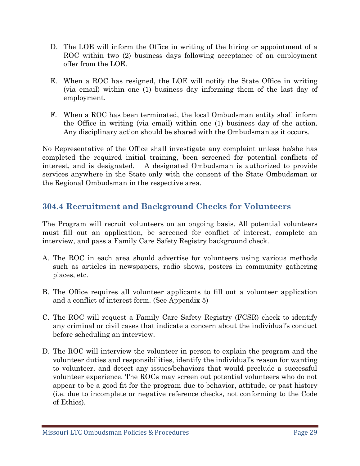- D. The LOE will inform the Office in writing of the hiring or appointment of a ROC within two (2) business days following acceptance of an employment offer from the LOE.
- E. When a ROC has resigned, the LOE will notify the State Office in writing (via email) within one (1) business day informing them of the last day of employment.
- F. When a ROC has been terminated, the local Ombudsman entity shall inform the Office in writing (via email) within one (1) business day of the action. Any disciplinary action should be shared with the Ombudsman as it occurs.

No Representative of the Office shall investigate any complaint unless he/she has completed the required initial training, been screened for potential conflicts of interest, and is designated. A designated Ombudsman is authorized to provide services anywhere in the State only with the consent of the State Ombudsman or the Regional Ombudsman in the respective area.

#### **304.4 Recruitment and Background Checks for Volunteers**

The Program will recruit volunteers on an ongoing basis. All potential volunteers must fill out an application, be screened for conflict of interest, complete an interview, and pass a Family Care Safety Registry background check.

- A. The ROC in each area should advertise for volunteers using various methods such as articles in newspapers, radio shows, posters in community gathering places, etc.
- B. The Office requires all volunteer applicants to fill out a volunteer application and a conflict of interest form. (See Appendix 5)
- C. The ROC will request a Family Care Safety Registry (FCSR) check to identify any criminal or civil cases that indicate a concern about the individual's conduct before scheduling an interview.
- D. The ROC will interview the volunteer in person to explain the program and the volunteer duties and responsibilities, identify the individual's reason for wanting to volunteer, and detect any issues/behaviors that would preclude a successful volunteer experience. The ROCs may screen out potential volunteers who do not appear to be a good fit for the program due to behavior, attitude, or past history (i.e. due to incomplete or negative reference checks, not conforming to the Code of Ethics).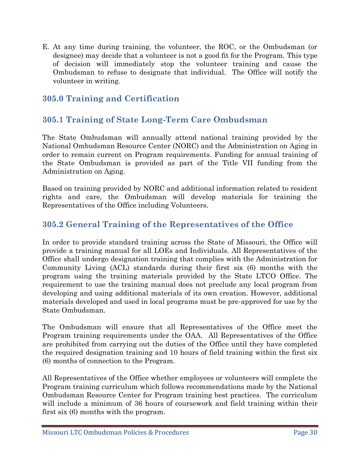E. At any time during training, the volunteer, the ROC, or the Ombudsman (or designee) may decide that a volunteer is not a good fit for the Program. This type of decision will immediately stop the volunteer training and cause the Ombudsman to refuse to designate that individual. The Office will notify the volunteer in writing.

#### **305.0 Training and Certification**

#### **305.1 Training of State Long-Term Care Ombudsman**

The State Ombudsman will annually attend national training provided by the National Ombudsman Resource Center (NORC) and the Administration on Aging in order to remain current on Program requirements. Funding for annual training of the State Ombudsman is provided as part of the Title VII funding from the Administration on Aging.

Based on training provided by NORC and additional information related to resident rights and care, the Ombudsman will develop materials for training the Representatives of the Office including Volunteers.

#### **305.2 General Training of the Representatives of the Office**

In order to provide standard training across the State of Missouri, the Office will provide a training manual for all LOEs and Individuals. All Representatives of the Office shall undergo designation training that complies with the Administration for Community Living (ACL) standards during their first six (6) months with the program using the training materials provided by the State LTCO Office. The requirement to use the training manual does not preclude any local program from developing and using additional materials of its own creation. However, additional materials developed and used in local programs must be pre-approved for use by the State Ombudsman.

The Ombudsman will ensure that all Representatives of the Office meet the Program training requirements under the OAA. All Representatives of the Office are prohibited from carrying out the duties of the Office until they have completed the required designation training and 10 hours of field training within the first six (6) months of connection to the Program.

All Representatives of the Office whether employees or volunteers will complete the Program training curriculum which follows recommendations made by the National Ombudsman Resource Center for Program training best practices. The curriculum will include a minimum of 36 hours of coursework and field training within their first six (6) months with the program.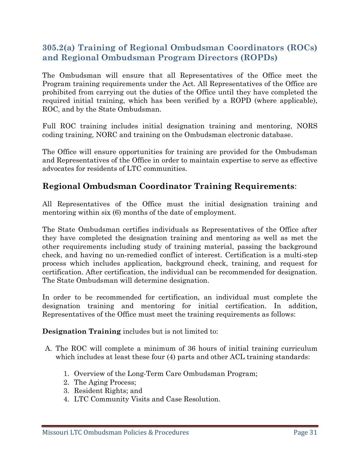#### **305.2(a) Training of Regional Ombudsman Coordinators (ROCs) and Regional Ombudsman Program Directors (ROPDs)**

The Ombudsman will ensure that all Representatives of the Office meet the Program training requirements under the Act. All Representatives of the Office are prohibited from carrying out the duties of the Office until they have completed the required initial training, which has been verified by a ROPD (where applicable), ROC, and by the State Ombudsman.

Full ROC training includes initial designation training and mentoring, NORS coding training, NORC and training on the Ombudsman electronic database.

The Office will ensure opportunities for training are provided for the Ombudsman and Representatives of the Office in order to maintain expertise to serve as effective advocates for residents of LTC communities.

#### **Regional Ombudsman Coordinator Training Requirements**:

All Representatives of the Office must the initial designation training and mentoring within six (6) months of the date of employment.

The State Ombudsman certifies individuals as Representatives of the Office after they have completed the designation training and mentoring as well as met the other requirements including study of training material, passing the background check, and having no un-remedied conflict of interest. Certification is a multi-step process which includes application, background check, training, and request for certification. After certification, the individual can be recommended for designation. The State Ombudsman will determine designation.

In order to be recommended for certification, an individual must complete the designation training and mentoring for initial certification. In addition, Representatives of the Office must meet the training requirements as follows:

**Designation Training** includes but is not limited to:

- A. The ROC will complete a minimum of 36 hours of initial training curriculum which includes at least these four (4) parts and other ACL training standards:
	- 1. Overview of the Long-Term Care Ombudsman Program;
	- 2. The Aging Process;
	- 3. Resident Rights; and
	- 4. LTC Community Visits and Case Resolution.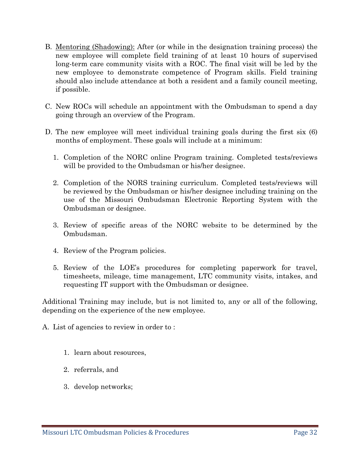- B. Mentoring (Shadowing): After (or while in the designation training process) the new employee will complete field training of at least 10 hours of supervised long-term care community visits with a ROC. The final visit will be led by the new employee to demonstrate competence of Program skills. Field training should also include attendance at both a resident and a family council meeting, if possible.
- C. New ROCs will schedule an appointment with the Ombudsman to spend a day going through an overview of the Program.
- D. The new employee will meet individual training goals during the first six (6) months of employment. These goals will include at a minimum:
	- 1. Completion of the NORC online Program training. Completed tests/reviews will be provided to the Ombudsman or his/her designee.
	- 2. Completion of the NORS training curriculum. Completed tests/reviews will be reviewed by the Ombudsman or his/her designee including training on the use of the Missouri Ombudsman Electronic Reporting System with the Ombudsman or designee.
	- 3. Review of specific areas of the NORC website to be determined by the Ombudsman.
	- 4. Review of the Program policies.
	- 5. Review of the LOE's procedures for completing paperwork for travel, timesheets, mileage, time management, LTC community visits, intakes, and requesting IT support with the Ombudsman or designee.

Additional Training may include, but is not limited to, any or all of the following, depending on the experience of the new employee.

A. List of agencies to review in order to :

- 1. learn about resources,
- 2. referrals, and
- 3. develop networks;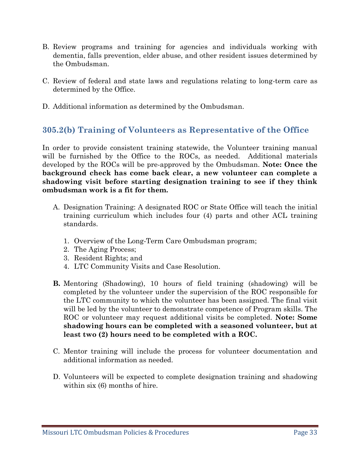- B. Review programs and training for agencies and individuals working with dementia, falls prevention, elder abuse, and other resident issues determined by the Ombudsman.
- C. Review of federal and state laws and regulations relating to long-term care as determined by the Office.
- D. Additional information as determined by the Ombudsman.

#### **305.2(b) Training of Volunteers as Representative of the Office**

In order to provide consistent training statewide, the Volunteer training manual will be furnished by the Office to the ROCs, as needed. Additional materials developed by the ROCs will be pre-approved by the Ombudsman. **Note: Once the background check has come back clear, a new volunteer can complete a shadowing visit before starting designation training to see if they think ombudsman work is a fit for them.**

- A. Designation Training: A designated ROC or State Office will teach the initial training curriculum which includes four (4) parts and other ACL training standards.
	- 1. Overview of the Long-Term Care Ombudsman program;
	- 2. The Aging Process;
	- 3. Resident Rights; and
	- 4. LTC Community Visits and Case Resolution.
- **B.** Mentoring (Shadowing), 10 hours of field training (shadowing) will be completed by the volunteer under the supervision of the ROC responsible for the LTC community to which the volunteer has been assigned. The final visit will be led by the volunteer to demonstrate competence of Program skills. The ROC or volunteer may request additional visits be completed. **Note: Some shadowing hours can be completed with a seasoned volunteer, but at least two (2) hours need to be completed with a ROC.**
- C. Mentor training will include the process for volunteer documentation and additional information as needed.
- D. Volunteers will be expected to complete designation training and shadowing within six  $(6)$  months of hire.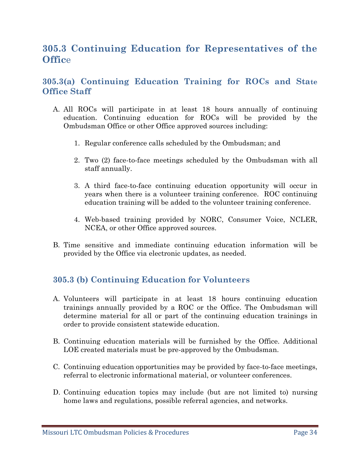# **305.3 Continuing Education for Representatives of the Offic**e

#### **305.3(a) Continuing Education Training for ROCs and State Office Staff**

- A. All ROCs will participate in at least 18 hours annually of continuing education. Continuing education for ROCs will be provided by the Ombudsman Office or other Office approved sources including:
	- 1. Regular conference calls scheduled by the Ombudsman; and
	- 2. Two (2) face-to-face meetings scheduled by the Ombudsman with all staff annually.
	- 3. A third face-to-face continuing education opportunity will occur in years when there is a volunteer training conference. ROC continuing education training will be added to the volunteer training conference.
	- 4. Web-based training provided by NORC, Consumer Voice, NCLER, NCEA, or other Office approved sources.
- B. Time sensitive and immediate continuing education information will be provided by the Office via electronic updates, as needed.

#### **305.3 (b) Continuing Education for Volunteers**

- A. Volunteers will participate in at least 18 hours continuing education trainings annually provided by a ROC or the Office. The Ombudsman will determine material for all or part of the continuing education trainings in order to provide consistent statewide education.
- B. Continuing education materials will be furnished by the Office. Additional LOE created materials must be pre-approved by the Ombudsman.
- C. Continuing education opportunities may be provided by face-to-face meetings, referral to electronic informational material, or volunteer conferences.
- D. Continuing education topics may include (but are not limited to) nursing home laws and regulations, possible referral agencies, and networks.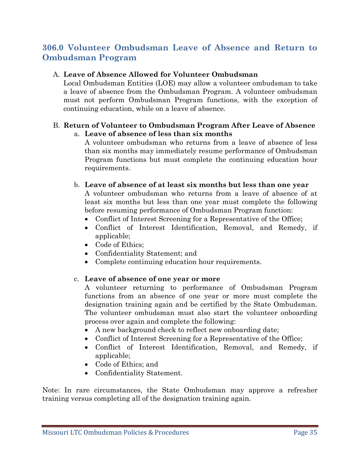#### **306.0 Volunteer Ombudsman Leave of Absence and Return to Ombudsman Program**

#### A. **Leave of Absence Allowed for Volunteer Ombudsman**

Local Ombudsman Entities (LOE) may allow a volunteer ombudsman to take a leave of absence from the Ombudsman Program. A volunteer ombudsman must not perform Ombudsman Program functions, with the exception of continuing education, while on a leave of absence.

#### B. **Return of Volunteer to Ombudsman Program After Leave of Absence**  a. **Leave of absence of less than six months**

A volunteer ombudsman who returns from a leave of absence of less than six months may immediately resume performance of Ombudsman Program functions but must complete the continuing education hour requirements.

b. **Leave of absence of at least six months but less than one year** 

A volunteer ombudsman who returns from a leave of absence of at least six months but less than one year must complete the following before resuming performance of Ombudsman Program function:

- Conflict of Interest Screening for a Representative of the Office;
- Conflict of Interest Identification, Removal, and Remedy, if applicable;
- Code of Ethics;
- Confidentiality Statement; and
- Complete continuing education hour requirements.

#### c. **Leave of absence of one year or more**

A volunteer returning to performance of Ombudsman Program functions from an absence of one year or more must complete the designation training again and be certified by the State Ombudsman. The volunteer ombudsman must also start the volunteer onboarding process over again and complete the following:

- A new background check to reflect new onboarding date;
- Conflict of Interest Screening for a Representative of the Office;
- Conflict of Interest Identification, Removal, and Remedy, if applicable;
- Code of Ethics; and
- Confidentiality Statement.

Note: In rare circumstances, the State Ombudsman may approve a refresher training versus completing all of the designation training again.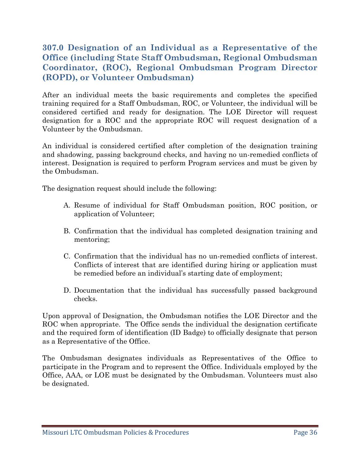#### **307.0 Designation of an Individual as a Representative of the Office (including State Staff Ombudsman, Regional Ombudsman Coordinator, (ROC), Regional Ombudsman Program Director (ROPD), or Volunteer Ombudsman)**

After an individual meets the basic requirements and completes the specified training required for a Staff Ombudsman, ROC, or Volunteer, the individual will be considered certified and ready for designation. The LOE Director will request designation for a ROC and the appropriate ROC will request designation of a Volunteer by the Ombudsman.

An individual is considered certified after completion of the designation training and shadowing, passing background checks, and having no un-remedied conflicts of interest. Designation is required to perform Program services and must be given by the Ombudsman.

The designation request should include the following:

- A. Resume of individual for Staff Ombudsman position, ROC position, or application of Volunteer;
- B. Confirmation that the individual has completed designation training and mentoring;
- C. Confirmation that the individual has no un-remedied conflicts of interest. Conflicts of interest that are identified during hiring or application must be remedied before an individual's starting date of employment;
- D. Documentation that the individual has successfully passed background checks.

Upon approval of Designation, the Ombudsman notifies the LOE Director and the ROC when appropriate. The Office sends the individual the designation certificate and the required form of identification (ID Badge) to officially designate that person as a Representative of the Office.

The Ombudsman designates individuals as Representatives of the Office to participate in the Program and to represent the Office. Individuals employed by the Office, AAA, or LOE must be designated by the Ombudsman. Volunteers must also be designated.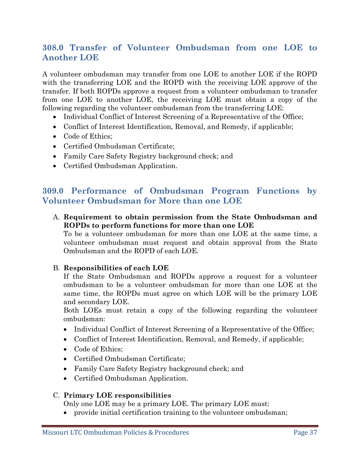## **308.0 Transfer of Volunteer Ombudsman from one LOE to Another LOE**

A volunteer ombudsman may transfer from one LOE to another LOE if the ROPD with the transferring LOE and the ROPD with the receiving LOE approve of the transfer. If both ROPDs approve a request from a volunteer ombudsman to transfer from one LOE to another LOE, the receiving LOE must obtain a copy of the following regarding the volunteer ombudsman from the transferring LOE:

- Individual Conflict of Interest Screening of a Representative of the Office;
- Conflict of Interest Identification, Removal, and Remedy, if applicable;
- Code of Ethics;
- Certified Ombudsman Certificate;
- Family Care Safety Registry background check; and
- Certified Ombudsman Application.

### **309.0 Performance of Ombudsman Program Functions by Volunteer Ombudsman for More than one LOE**

A. **Requirement to obtain permission from the State Ombudsman and ROPDs to perform functions for more than one LOE** 

To be a volunteer ombudsman for more than one LOE at the same time, a volunteer ombudsman must request and obtain approval from the State Ombudsman and the ROPD of each LOE.

#### B. **Responsibilities of each LOE**

If the State Ombudsman and ROPDs approve a request for a volunteer ombudsman to be a volunteer ombudsman for more than one LOE at the same time, the ROPDs must agree on which LOE will be the primary LOE and secondary LOE.

Both LOEs must retain a copy of the following regarding the volunteer ombudsman:

- Individual Conflict of Interest Screening of a Representative of the Office;
- Conflict of Interest Identification, Removal, and Remedy, if applicable;
- Code of Ethics;
- Certified Ombudsman Certificate;
- Family Care Safety Registry background check; and
- Certified Ombudsman Application.

#### C. **Primary LOE responsibilities**

Only one LOE may be a primary LOE. The primary LOE must:

• provide initial certification training to the volunteer ombudsman;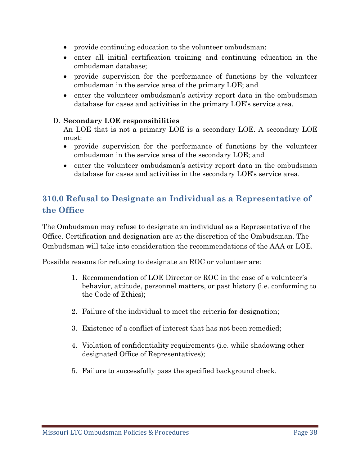- provide continuing education to the volunteer ombudsman;
- enter all initial certification training and continuing education in the ombudsman database;
- provide supervision for the performance of functions by the volunteer ombudsman in the service area of the primary LOE; and
- enter the volunteer ombudsman's activity report data in the ombudsman database for cases and activities in the primary LOE's service area.

#### D. **Secondary LOE responsibilities**

An LOE that is not a primary LOE is a secondary LOE. A secondary LOE must:

- provide supervision for the performance of functions by the volunteer ombudsman in the service area of the secondary LOE; and
- enter the volunteer ombudsman's activity report data in the ombudsman database for cases and activities in the secondary LOE's service area.

## **310.0 Refusal to Designate an Individual as a Representative of the Office**

The Ombudsman may refuse to designate an individual as a Representative of the Office. Certification and designation are at the discretion of the Ombudsman. The Ombudsman will take into consideration the recommendations of the AAA or LOE.

Possible reasons for refusing to designate an ROC or volunteer are:

- 1. Recommendation of LOE Director or ROC in the case of a volunteer's behavior, attitude, personnel matters, or past history (i.e. conforming to the Code of Ethics);
- 2. Failure of the individual to meet the criteria for designation;
- 3. Existence of a conflict of interest that has not been remedied;
- 4. Violation of confidentiality requirements (i.e. while shadowing other designated Office of Representatives);
- 5. Failure to successfully pass the specified background check.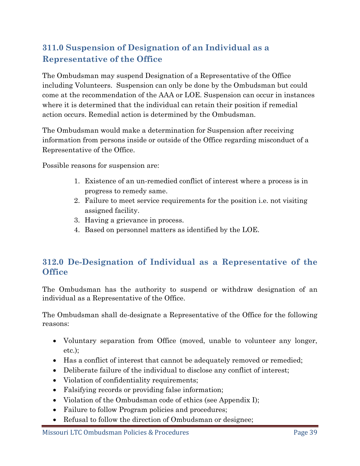# **311.0 Suspension of Designation of an Individual as a Representative of the Office**

The Ombudsman may suspend Designation of a Representative of the Office including Volunteers. Suspension can only be done by the Ombudsman but could come at the recommendation of the AAA or LOE. Suspension can occur in instances where it is determined that the individual can retain their position if remedial action occurs. Remedial action is determined by the Ombudsman.

The Ombudsman would make a determination for Suspension after receiving information from persons inside or outside of the Office regarding misconduct of a Representative of the Office.

Possible reasons for suspension are:

- 1. Existence of an un-remedied conflict of interest where a process is in progress to remedy same.
- 2. Failure to meet service requirements for the position i.e. not visiting assigned facility.
- 3. Having a grievance in process.
- 4. Based on personnel matters as identified by the LOE.

### **312.0 De-Designation of Individual as a Representative of the Office**

The Ombudsman has the authority to suspend or withdraw designation of an individual as a Representative of the Office.

The Ombudsman shall de-designate a Representative of the Office for the following reasons:

- Voluntary separation from Office (moved, unable to volunteer any longer, etc.);
- Has a conflict of interest that cannot be adequately removed or remedied;
- Deliberate failure of the individual to disclose any conflict of interest;
- Violation of confidentiality requirements;
- Falsifying records or providing false information;
- Violation of the Ombudsman code of ethics (see Appendix I);
- Failure to follow Program policies and procedures;
- Refusal to follow the direction of Ombudsman or designee;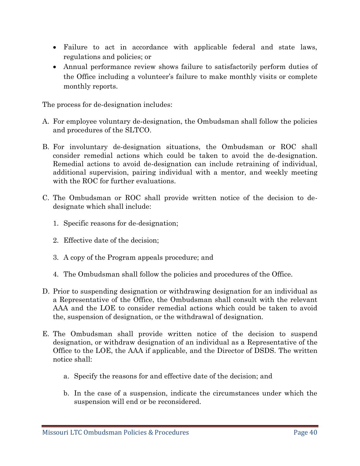- Failure to act in accordance with applicable federal and state laws, regulations and policies; or
- Annual performance review shows failure to satisfactorily perform duties of the Office including a volunteer's failure to make monthly visits or complete monthly reports.

The process for de-designation includes:

- A. For employee voluntary de-designation, the Ombudsman shall follow the policies and procedures of the SLTCO.
- B. For involuntary de-designation situations, the Ombudsman or ROC shall consider remedial actions which could be taken to avoid the de-designation. Remedial actions to avoid de-designation can include retraining of individual, additional supervision, pairing individual with a mentor, and weekly meeting with the ROC for further evaluations.
- C. The Ombudsman or ROC shall provide written notice of the decision to dedesignate which shall include:
	- 1. Specific reasons for de-designation;
	- 2. Effective date of the decision;
	- 3. A copy of the Program appeals procedure; and
	- 4. The Ombudsman shall follow the policies and procedures of the Office.
- D. Prior to suspending designation or withdrawing designation for an individual as a Representative of the Office, the Ombudsman shall consult with the relevant AAA and the LOE to consider remedial actions which could be taken to avoid the, suspension of designation, or the withdrawal of designation.
- E. The Ombudsman shall provide written notice of the decision to suspend designation, or withdraw designation of an individual as a Representative of the Office to the LOE, the AAA if applicable, and the Director of DSDS. The written notice shall:
	- a. Specify the reasons for and effective date of the decision; and
	- b. In the case of a suspension, indicate the circumstances under which the suspension will end or be reconsidered.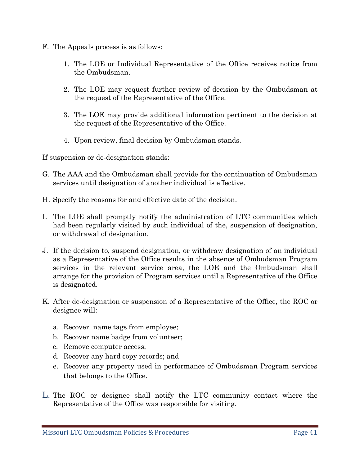- F. The Appeals process is as follows:
	- 1. The LOE or Individual Representative of the Office receives notice from the Ombudsman.
	- 2. The LOE may request further review of decision by the Ombudsman at the request of the Representative of the Office.
	- 3. The LOE may provide additional information pertinent to the decision at the request of the Representative of the Office.
	- 4. Upon review, final decision by Ombudsman stands.

If suspension or de-designation stands:

- G. The AAA and the Ombudsman shall provide for the continuation of Ombudsman services until designation of another individual is effective.
- H. Specify the reasons for and effective date of the decision.
- I. The LOE shall promptly notify the administration of LTC communities which had been regularly visited by such individual of the, suspension of designation, or withdrawal of designation.
- J. If the decision to, suspend designation, or withdraw designation of an individual as a Representative of the Office results in the absence of Ombudsman Program services in the relevant service area, the LOE and the Ombudsman shall arrange for the provision of Program services until a Representative of the Office is designated.
- K. After de-designation or suspension of a Representative of the Office, the ROC or designee will:
	- a. Recover name tags from employee;
	- b. Recover name badge from volunteer;
	- c. Remove computer access;
	- d. Recover any hard copy records; and
	- e. Recover any property used in performance of Ombudsman Program services that belongs to the Office.
- L. The ROC or designee shall notify the LTC community contact where the Representative of the Office was responsible for visiting.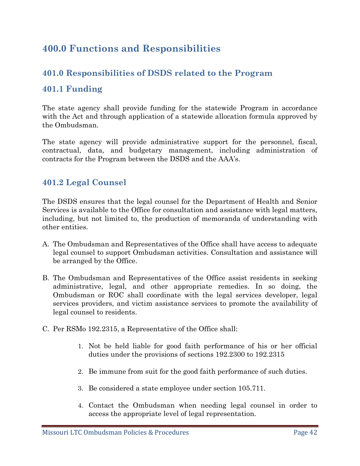# **400.0 Functions and Responsibilities**

### **401.0 Responsibilities of DSDS related to the Program**

#### **401.1 Funding**

The state agency shall provide funding for the statewide Program in accordance with the Act and through application of a statewide allocation formula approved by the Ombudsman.

The state agency will provide administrative support for the personnel, fiscal, contractual, data, and budgetary management, including administration of contracts for the Program between the DSDS and the AAA's.

#### **401.2 Legal Counsel**

The DSDS ensures that the legal counsel for the Department of Health and Senior Services is available to the Office for consultation and assistance with legal matters, including, but not limited to, the production of memoranda of understanding with other entities.

- A. The Ombudsman and Representatives of the Office shall have access to adequate legal counsel to support Ombudsman activities. Consultation and assistance will be arranged by the Office.
- B. The Ombudsman and Representatives of the Office assist residents in seeking administrative, legal, and other appropriate remedies. In so doing, the Ombudsman or ROC shall coordinate with the legal services developer, legal services providers, and victim assistance services to promote the availability of legal counsel to residents.
- C. Per RSMo 192.2315, a Representative of the Office shall:
	- 1. Not be held liable for good faith performance of his or her official duties under the provisions of sections 192.2300 to 192.2315
	- 2. Be immune from suit for the good faith performance of such duties.
	- 3. Be considered a state employee under section 105.711.
	- 4. Contact the Ombudsman when needing legal counsel in order to access the appropriate level of legal representation.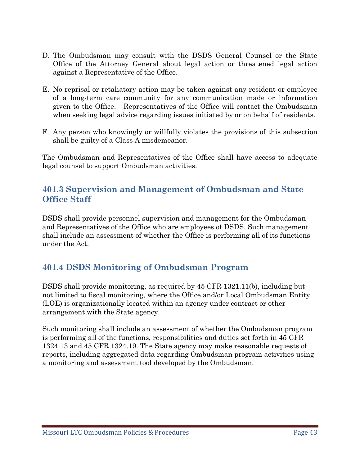- D. The Ombudsman may consult with the DSDS General Counsel or the State Office of the Attorney General about legal action or threatened legal action against a Representative of the Office.
- E. No reprisal or retaliatory action may be taken against any resident or employee of a long-term care community for any communication made or information given to the Office. Representatives of the Office will contact the Ombudsman when seeking legal advice regarding issues initiated by or on behalf of residents.
- F. Any person who knowingly or willfully violates the provisions of this subsection shall be guilty of a Class A misdemeanor.

The Ombudsman and Representatives of the Office shall have access to adequate legal counsel to support Ombudsman activities.

### **401.3 Supervision and Management of Ombudsman and State Office Staff**

DSDS shall provide personnel supervision and management for the Ombudsman and Representatives of the Office who are employees of DSDS. Such management shall include an assessment of whether the Office is performing all of its functions under the Act.

## **401.4 DSDS Monitoring of Ombudsman Program**

DSDS shall provide monitoring, as required by 45 CFR 1321.11(b), including but not limited to fiscal monitoring, where the Office and/or Local Ombudsman Entity (LOE) is organizationally located within an agency under contract or other arrangement with the State agency.

Such monitoring shall include an assessment of whether the Ombudsman program is performing all of the functions, responsibilities and duties set forth in 45 CFR 1324.13 and 45 CFR 1324.19. The State agency may make reasonable requests of reports, including aggregated data regarding Ombudsman program activities using a monitoring and assessment tool developed by the Ombudsman.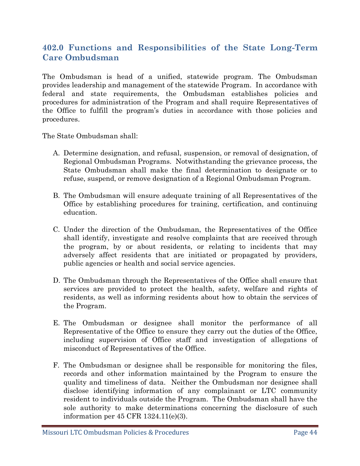## **402.0 Functions and Responsibilities of the State Long-Term Care Ombudsman**

The Ombudsman is head of a unified, statewide program. The Ombudsman provides leadership and management of the statewide Program. In accordance with federal and state requirements, the Ombudsman establishes policies and procedures for administration of the Program and shall require Representatives of the Office to fulfill the program's duties in accordance with those policies and procedures.

The State Ombudsman shall:

- A. Determine designation, and refusal, suspension, or removal of designation, of Regional Ombudsman Programs. Notwithstanding the grievance process, the State Ombudsman shall make the final determination to designate or to refuse, suspend, or remove designation of a Regional Ombudsman Program.
- B. The Ombudsman will ensure adequate training of all Representatives of the Office by establishing procedures for training, certification, and continuing education.
- C. Under the direction of the Ombudsman, the Representatives of the Office shall identify, investigate and resolve complaints that are received through the program, by or about residents, or relating to incidents that may adversely affect residents that are initiated or propagated by providers, public agencies or health and social service agencies.
- D. The Ombudsman through the Representatives of the Office shall ensure that services are provided to protect the health, safety, welfare and rights of residents, as well as informing residents about how to obtain the services of the Program.
- E. The Ombudsman or designee shall monitor the performance of all Representative of the Office to ensure they carry out the duties of the Office, including supervision of Office staff and investigation of allegations of misconduct of Representatives of the Office.
- F. The Ombudsman or designee shall be responsible for monitoring the files, records and other information maintained by the Program to ensure the quality and timeliness of data. Neither the Ombudsman nor designee shall disclose identifying information of any complainant or LTC community resident to individuals outside the Program. The Ombudsman shall have the sole authority to make determinations concerning the disclosure of such information per 45 CFR 1324.11(e)(3).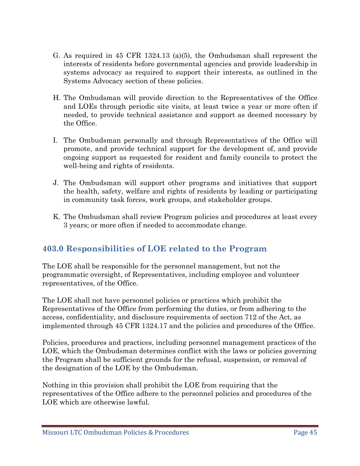- G. As required in 45 CFR 1324.13 (a)(5), the Ombudsman shall represent the interests of residents before governmental agencies and provide leadership in systems advocacy as required to support their interests, as outlined in the Systems Advocacy section of these policies.
- H. The Ombudsman will provide direction to the Representatives of the Office and LOEs through periodic site visits, at least twice a year or more often if needed, to provide technical assistance and support as deemed necessary by the Office.
- I. The Ombudsman personally and through Representatives of the Office will promote, and provide technical support for the development of, and provide ongoing support as requested for resident and family councils to protect the well-being and rights of residents.
- J. The Ombudsman will support other programs and initiatives that support the health, safety, welfare and rights of residents by leading or participating in community task forces, work groups, and stakeholder groups.
- K. The Ombudsman shall review Program policies and procedures at least every 3 years; or more often if needed to accommodate change.

## **403.0 Responsibilities of LOE related to the Program**

The LOE shall be responsible for the personnel management, but not the programmatic oversight, of Representatives, including employee and volunteer representatives, of the Office.

The LOE shall not have personnel policies or practices which prohibit the Representatives of the Office from performing the duties, or from adhering to the access, confidentiality, and disclosure requirements of section 712 of the Act, as implemented through 45 CFR 1324.17 and the policies and procedures of the Office.

Policies, procedures and practices, including personnel management practices of the LOE, which the Ombudsman determines conflict with the laws or policies governing the Program shall be sufficient grounds for the refusal, suspension, or removal of the designation of the LOE by the Ombudsman.

Nothing in this provision shall prohibit the LOE from requiring that the representatives of the Office adhere to the personnel policies and procedures of the LOE which are otherwise lawful.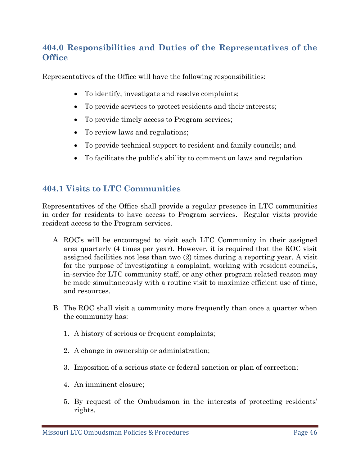## **404.0 Responsibilities and Duties of the Representatives of the Office**

Representatives of the Office will have the following responsibilities:

- To identify, investigate and resolve complaints;
- To provide services to protect residents and their interests;
- To provide timely access to Program services;
- To review laws and regulations;
- To provide technical support to resident and family councils; and
- To facilitate the public's ability to comment on laws and regulation

## **404.1 Visits to LTC Communities**

Representatives of the Office shall provide a regular presence in LTC communities in order for residents to have access to Program services. Regular visits provide resident access to the Program services.

- A. ROC's will be encouraged to visit each LTC Community in their assigned area quarterly (4 times per year). However, it is required that the ROC visit assigned facilities not less than two (2) times during a reporting year. A visit for the purpose of investigating a complaint, working with resident councils, in-service for LTC community staff, or any other program related reason may be made simultaneously with a routine visit to maximize efficient use of time, and resources.
- B. The ROC shall visit a community more frequently than once a quarter when the community has:
	- 1. A history of serious or frequent complaints;
	- 2. A change in ownership or administration;
	- 3. Imposition of a serious state or federal sanction or plan of correction;
	- 4. An imminent closure;
	- 5. By request of the Ombudsman in the interests of protecting residents' rights.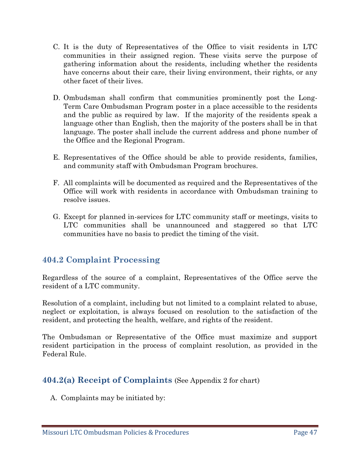- C. It is the duty of Representatives of the Office to visit residents in LTC communities in their assigned region. These visits serve the purpose of gathering information about the residents, including whether the residents have concerns about their care, their living environment, their rights, or any other facet of their lives.
- D. Ombudsman shall confirm that communities prominently post the Long-Term Care Ombudsman Program poster in a place accessible to the residents and the public as required by law. If the majority of the residents speak a language other than English, then the majority of the posters shall be in that language. The poster shall include the current address and phone number of the Office and the Regional Program.
- E. Representatives of the Office should be able to provide residents, families, and community staff with Ombudsman Program brochures.
- F. All complaints will be documented as required and the Representatives of the Office will work with residents in accordance with Ombudsman training to resolve issues.
- G. Except for planned in-services for LTC community staff or meetings, visits to LTC communities shall be unannounced and staggered so that LTC communities have no basis to predict the timing of the visit.

## **404.2 Complaint Processing**

Regardless of the source of a complaint, Representatives of the Office serve the resident of a LTC community.

Resolution of a complaint, including but not limited to a complaint related to abuse, neglect or exploitation, is always focused on resolution to the satisfaction of the resident, and protecting the health, welfare, and rights of the resident.

The Ombudsman or Representative of the Office must maximize and support resident participation in the process of complaint resolution, as provided in the Federal Rule.

## **404.2(a) Receipt of Complaints** (See Appendix 2 for chart)

A. Complaints may be initiated by: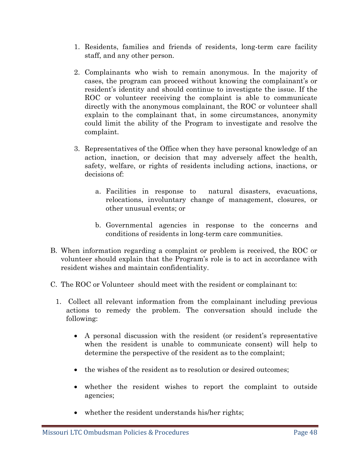- 1. Residents, families and friends of residents, long-term care facility staff, and any other person.
- 2. Complainants who wish to remain anonymous. In the majority of cases, the program can proceed without knowing the complainant's or resident's identity and should continue to investigate the issue. If the ROC or volunteer receiving the complaint is able to communicate directly with the anonymous complainant, the ROC or volunteer shall explain to the complainant that, in some circumstances, anonymity could limit the ability of the Program to investigate and resolve the complaint.
- 3. Representatives of the Office when they have personal knowledge of an action, inaction, or decision that may adversely affect the health, safety, welfare, or rights of residents including actions, inactions, or decisions of :
	- a. Facilities in response to natural disasters, evacuations, relocations, involuntary change of management, closures, or other unusual events; or
	- b. Governmental agencies in response to the concerns and conditions of residents in long-term care communities.
- B. When information regarding a complaint or problem is received, the ROC or volunteer should explain that the Program's role is to act in accordance with resident wishes and maintain confidentiality.
- C. The ROC or Volunteer should meet with the resident or complainant to:
	- 1. Collect all relevant information from the complainant including previous actions to remedy the problem. The conversation should include the following:
		- A personal discussion with the resident (or resident's representative when the resident is unable to communicate consent) will help to determine the perspective of the resident as to the complaint;
		- the wishes of the resident as to resolution or desired outcomes:
		- whether the resident wishes to report the complaint to outside agencies;
		- whether the resident understands his/her rights;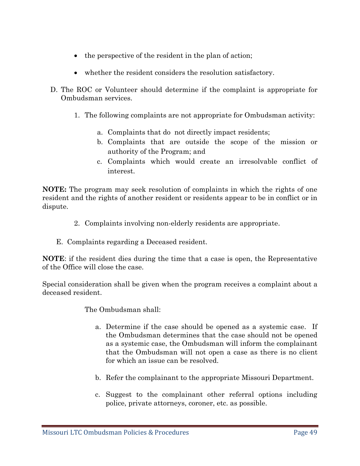- the perspective of the resident in the plan of action;
- whether the resident considers the resolution satisfactory.
- D. The ROC or Volunteer should determine if the complaint is appropriate for Ombudsman services.
	- 1. The following complaints are not appropriate for Ombudsman activity:
		- a. Complaints that do not directly impact residents;
		- b. Complaints that are outside the scope of the mission or authority of the Program; and
		- c. Complaints which would create an irresolvable conflict of interest.

**NOTE:** The program may seek resolution of complaints in which the rights of one resident and the rights of another resident or residents appear to be in conflict or in dispute.

- 2. Complaints involving non-elderly residents are appropriate.
- E. Complaints regarding a Deceased resident.

**NOTE**: if the resident dies during the time that a case is open, the Representative of the Office will close the case.

Special consideration shall be given when the program receives a complaint about a deceased resident.

The Ombudsman shall:

- a. Determine if the case should be opened as a systemic case. If the Ombudsman determines that the case should not be opened as a systemic case, the Ombudsman will inform the complainant that the Ombudsman will not open a case as there is no client for which an issue can be resolved.
- b. Refer the complainant to the appropriate Missouri Department.
- c. Suggest to the complainant other referral options including police, private attorneys, coroner, etc. as possible.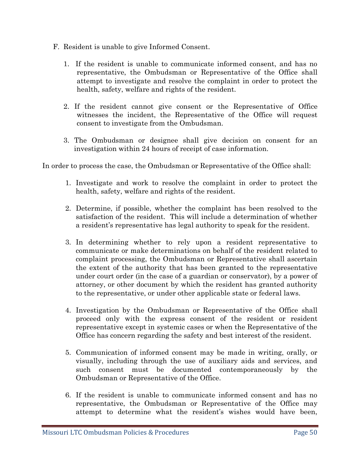- F. Resident is unable to give Informed Consent.
	- 1. If the resident is unable to communicate informed consent, and has no representative, the Ombudsman or Representative of the Office shall attempt to investigate and resolve the complaint in order to protect the health, safety, welfare and rights of the resident.
	- 2. If the resident cannot give consent or the Representative of Office witnesses the incident, the Representative of the Office will request consent to investigate from the Ombudsman.
	- 3. The Ombudsman or designee shall give decision on consent for an investigation within 24 hours of receipt of case information.

In order to process the case, the Ombudsman or Representative of the Office shall:

- 1. Investigate and work to resolve the complaint in order to protect the health, safety, welfare and rights of the resident.
- 2. Determine, if possible, whether the complaint has been resolved to the satisfaction of the resident. This will include a determination of whether a resident's representative has legal authority to speak for the resident.
- 3. In determining whether to rely upon a resident representative to communicate or make determinations on behalf of the resident related to complaint processing, the Ombudsman or Representative shall ascertain the extent of the authority that has been granted to the representative under court order (in the case of a guardian or conservator), by a power of attorney, or other document by which the resident has granted authority to the representative, or under other applicable state or federal laws.
- 4. Investigation by the Ombudsman or Representative of the Office shall proceed only with the express consent of the resident or resident representative except in systemic cases or when the Representative of the Office has concern regarding the safety and best interest of the resident.
- 5. Communication of informed consent may be made in writing, orally, or visually, including through the use of auxiliary aids and services, and such consent must be documented contemporaneously by the Ombudsman or Representative of the Office.
- 6. If the resident is unable to communicate informed consent and has no representative, the Ombudsman or Representative of the Office may attempt to determine what the resident's wishes would have been,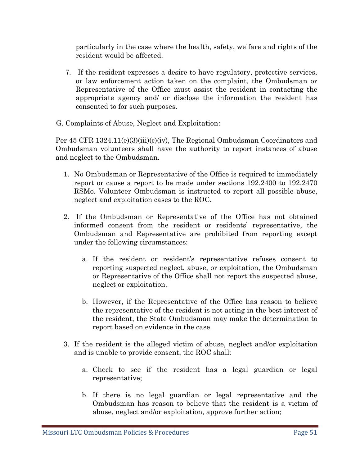particularly in the case where the health, safety, welfare and rights of the resident would be affected.

- 7. If the resident expresses a desire to have regulatory, protective services, or law enforcement action taken on the complaint, the Ombudsman or Representative of the Office must assist the resident in contacting the appropriate agency and/ or disclose the information the resident has consented to for such purposes.
- G. Complaints of Abuse, Neglect and Exploitation:

Per 45 CFR 1324.11(e)(3)(iii)(c)(iv), The Regional Ombudsman Coordinators and Ombudsman volunteers shall have the authority to report instances of abuse and neglect to the Ombudsman.

- 1. No Ombudsman or Representative of the Office is required to immediately report or cause a report to be made under sections 192.2400 to 192.2470 RSMo. Volunteer Ombudsman is instructed to report all possible abuse, neglect and exploitation cases to the ROC.
- 2. If the Ombudsman or Representative of the Office has not obtained informed consent from the resident or residents' representative, the Ombudsman and Representative are prohibited from reporting except under the following circumstances:
	- a. If the resident or resident's representative refuses consent to reporting suspected neglect, abuse, or exploitation, the Ombudsman or Representative of the Office shall not report the suspected abuse, neglect or exploitation.
	- b. However, if the Representative of the Office has reason to believe the representative of the resident is not acting in the best interest of the resident, the State Ombudsman may make the determination to report based on evidence in the case.
- 3. If the resident is the alleged victim of abuse, neglect and/or exploitation and is unable to provide consent, the ROC shall:
	- a. Check to see if the resident has a legal guardian or legal representative;
	- b. If there is no legal guardian or legal representative and the Ombudsman has reason to believe that the resident is a victim of abuse, neglect and/or exploitation, approve further action;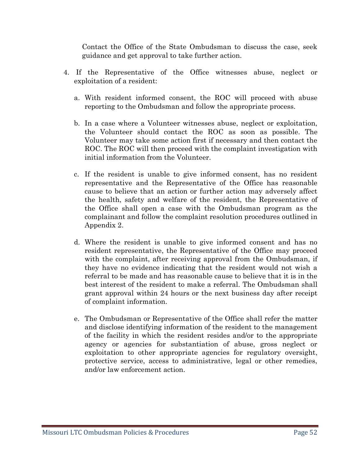Contact the Office of the State Ombudsman to discuss the case, seek guidance and get approval to take further action.

- 4. If the Representative of the Office witnesses abuse, neglect or exploitation of a resident:
	- a. With resident informed consent, the ROC will proceed with abuse reporting to the Ombudsman and follow the appropriate process.
	- b. In a case where a Volunteer witnesses abuse, neglect or exploitation, the Volunteer should contact the ROC as soon as possible. The Volunteer may take some action first if necessary and then contact the ROC. The ROC will then proceed with the complaint investigation with initial information from the Volunteer.
	- c. If the resident is unable to give informed consent, has no resident representative and the Representative of the Office has reasonable cause to believe that an action or further action may adversely affect the health, safety and welfare of the resident, the Representative of the Office shall open a case with the Ombudsman program as the complainant and follow the complaint resolution procedures outlined in Appendix 2.
	- d. Where the resident is unable to give informed consent and has no resident representative, the Representative of the Office may proceed with the complaint, after receiving approval from the Ombudsman, if they have no evidence indicating that the resident would not wish a referral to be made and has reasonable cause to believe that it is in the best interest of the resident to make a referral. The Ombudsman shall grant approval within 24 hours or the next business day after receipt of complaint information.
	- e. The Ombudsman or Representative of the Office shall refer the matter and disclose identifying information of the resident to the management of the facility in which the resident resides and/or to the appropriate agency or agencies for substantiation of abuse, gross neglect or exploitation to other appropriate agencies for regulatory oversight, protective service, access to administrative, legal or other remedies, and/or law enforcement action.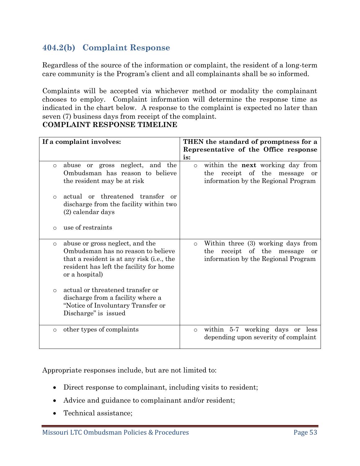## **404.2(b) Complaint Response**

Regardless of the source of the information or complaint, the resident of a long-term care community is the Program's client and all complainants shall be so informed.

Complaints will be accepted via whichever method or modality the complainant chooses to employ. Complaint information will determine the response time as indicated in the chart below. A response to the complaint is expected no later than seven (7) business days from receipt of the complaint. **COMPLAINT RESPONSE TIMELINE**

| If a complaint involves:                                                                                                                                                                                                                                                                                                                      | THEN the standard of promptness for a                                                                                               |
|-----------------------------------------------------------------------------------------------------------------------------------------------------------------------------------------------------------------------------------------------------------------------------------------------------------------------------------------------|-------------------------------------------------------------------------------------------------------------------------------------|
|                                                                                                                                                                                                                                                                                                                                               | Representative of the Office response<br>is:                                                                                        |
| or gross neglect, and the<br>abuse<br>$\circ$<br>Ombudsman has reason to believe<br>the resident may be at risk                                                                                                                                                                                                                               | within the <b>next</b> working day from<br>$\circ$<br>receipt of the<br>message<br>the<br>or<br>information by the Regional Program |
| actual or threatened transfer or<br>$\Omega$<br>discharge from the facility within two<br>(2) calendar days                                                                                                                                                                                                                                   |                                                                                                                                     |
| use of restraints<br>O                                                                                                                                                                                                                                                                                                                        |                                                                                                                                     |
| abuse or gross neglect, and the<br>$\circ$<br>Ombudsman has no reason to believe<br>that a resident is at any risk (i.e., the<br>resident has left the facility for home<br>or a hospital)<br>actual or threatened transfer or<br>$\Omega$<br>discharge from a facility where a<br>"Notice of Involuntary Transfer or<br>Discharge" is issued | Within three (3) working days from<br>$\circ$<br>receipt of the<br>the<br>message<br>or<br>information by the Regional Program      |
| other types of complaints<br>$\circ$                                                                                                                                                                                                                                                                                                          | within 5-7 working days or less<br>$\circ$<br>depending upon severity of complaint                                                  |

Appropriate responses include, but are not limited to:

- Direct response to complainant, including visits to resident;
- Advice and guidance to complainant and/or resident;
- Technical assistance;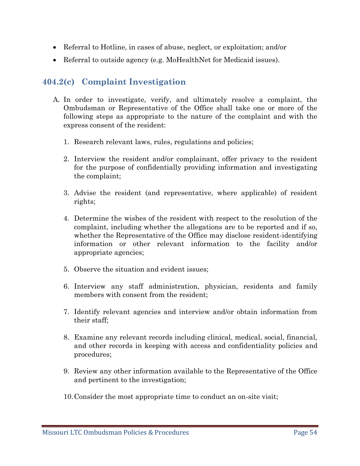- Referral to Hotline, in cases of abuse, neglect, or exploitation; and/or
- Referral to outside agency (e.g. MoHealthNet for Medicaid issues).

## **404.2(c) Complaint Investigation**

- A. In order to investigate, verify, and ultimately resolve a complaint, the Ombudsman or Representative of the Office shall take one or more of the following steps as appropriate to the nature of the complaint and with the express consent of the resident:
	- 1. Research relevant laws, rules, regulations and policies;
	- 2. Interview the resident and/or complainant, offer privacy to the resident for the purpose of confidentially providing information and investigating the complaint;
	- 3. Advise the resident (and representative, where applicable) of resident rights;
	- 4. Determine the wishes of the resident with respect to the resolution of the complaint, including whether the allegations are to be reported and if so, whether the Representative of the Office may disclose resident-identifying information or other relevant information to the facility and/or appropriate agencies;
	- 5. Observe the situation and evident issues;
	- 6. Interview any staff administration, physician, residents and family members with consent from the resident;
	- 7. Identify relevant agencies and interview and/or obtain information from their staff;
	- 8. Examine any relevant records including clinical, medical, social, financial, and other records in keeping with access and confidentiality policies and procedures;
	- 9. Review any other information available to the Representative of the Office and pertinent to the investigation;
	- 10.Consider the most appropriate time to conduct an on-site visit;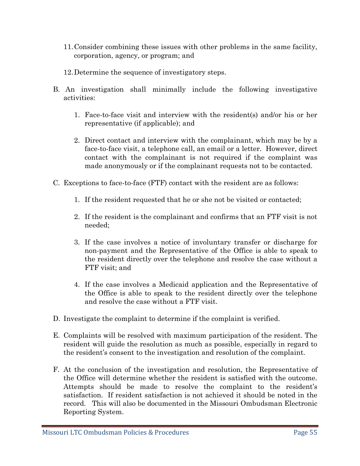- 11.Consider combining these issues with other problems in the same facility, corporation, agency, or program; and
- 12.Determine the sequence of investigatory steps.
- B. An investigation shall minimally include the following investigative activities:
	- 1. Face-to-face visit and interview with the resident(s) and/or his or her representative (if applicable); and
	- 2. Direct contact and interview with the complainant, which may be by a face-to-face visit, a telephone call, an email or a letter. However, direct contact with the complainant is not required if the complaint was made anonymously or if the complainant requests not to be contacted.
- C. Exceptions to face-to-face (FTF) contact with the resident are as follows:
	- 1. If the resident requested that he or she not be visited or contacted;
	- 2. If the resident is the complainant and confirms that an FTF visit is not needed;
	- 3. If the case involves a notice of involuntary transfer or discharge for non-payment and the Representative of the Office is able to speak to the resident directly over the telephone and resolve the case without a FTF visit; and
	- 4. If the case involves a Medicaid application and the Representative of the Office is able to speak to the resident directly over the telephone and resolve the case without a FTF visit.
- D. Investigate the complaint to determine if the complaint is verified.
- E. Complaints will be resolved with maximum participation of the resident. The resident will guide the resolution as much as possible, especially in regard to the resident's consent to the investigation and resolution of the complaint.
- F. At the conclusion of the investigation and resolution, the Representative of the Office will determine whether the resident is satisfied with the outcome. Attempts should be made to resolve the complaint to the resident's satisfaction. If resident satisfaction is not achieved it should be noted in the record. This will also be documented in the Missouri Ombudsman Electronic Reporting System.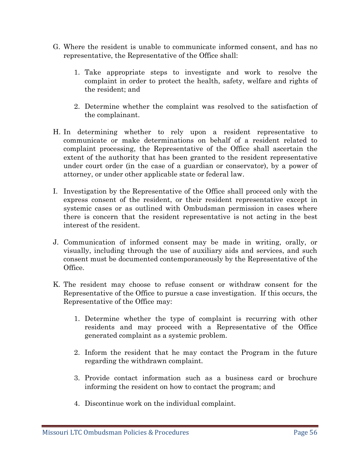- G. Where the resident is unable to communicate informed consent, and has no representative, the Representative of the Office shall:
	- 1. Take appropriate steps to investigate and work to resolve the complaint in order to protect the health, safety, welfare and rights of the resident; and
	- 2. Determine whether the complaint was resolved to the satisfaction of the complainant.
- H. In determining whether to rely upon a resident representative to communicate or make determinations on behalf of a resident related to complaint processing, the Representative of the Office shall ascertain the extent of the authority that has been granted to the resident representative under court order (in the case of a guardian or conservator), by a power of attorney, or under other applicable state or federal law.
- I. Investigation by the Representative of the Office shall proceed only with the express consent of the resident, or their resident representative except in systemic cases or as outlined with Ombudsman permission in cases where there is concern that the resident representative is not acting in the best interest of the resident.
- J. Communication of informed consent may be made in writing, orally, or visually, including through the use of auxiliary aids and services, and such consent must be documented contemporaneously by the Representative of the Office.
- K. The resident may choose to refuse consent or withdraw consent for the Representative of the Office to pursue a case investigation. If this occurs, the Representative of the Office may:
	- 1. Determine whether the type of complaint is recurring with other residents and may proceed with a Representative of the Office generated complaint as a systemic problem.
	- 2. Inform the resident that he may contact the Program in the future regarding the withdrawn complaint.
	- 3. Provide contact information such as a business card or brochure informing the resident on how to contact the program; and
	- 4. Discontinue work on the individual complaint.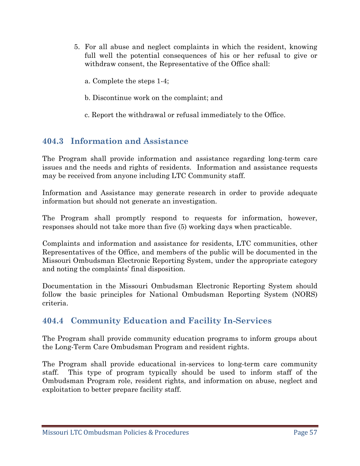- 5. For all abuse and neglect complaints in which the resident, knowing full well the potential consequences of his or her refusal to give or withdraw consent, the Representative of the Office shall:
	- a. Complete the steps 1-4;
	- b. Discontinue work on the complaint; and
	- c. Report the withdrawal or refusal immediately to the Office.

## **404.3 Information and Assistance**

The Program shall provide information and assistance regarding long-term care issues and the needs and rights of residents. Information and assistance requests may be received from anyone including LTC Community staff.

Information and Assistance may generate research in order to provide adequate information but should not generate an investigation.

The Program shall promptly respond to requests for information, however, responses should not take more than five (5) working days when practicable.

Complaints and information and assistance for residents, LTC communities, other Representatives of the Office, and members of the public will be documented in the Missouri Ombudsman Electronic Reporting System, under the appropriate category and noting the complaints' final disposition.

Documentation in the Missouri Ombudsman Electronic Reporting System should follow the basic principles for National Ombudsman Reporting System (NORS) criteria.

## **404.4 Community Education and Facility In-Services**

The Program shall provide community education programs to inform groups about the Long-Term Care Ombudsman Program and resident rights.

The Program shall provide educational in-services to long-term care community staff. This type of program typically should be used to inform staff of the Ombudsman Program role, resident rights, and information on abuse, neglect and exploitation to better prepare facility staff.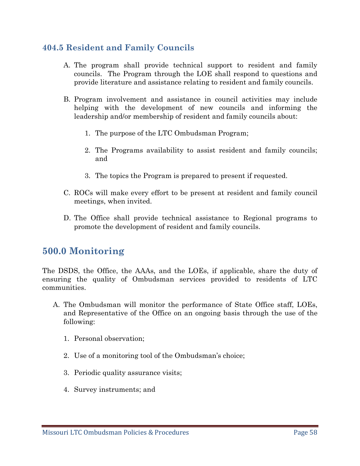## **404.5 Resident and Family Councils**

- A. The program shall provide technical support to resident and family councils. The Program through the LOE shall respond to questions and provide literature and assistance relating to resident and family councils.
- B. Program involvement and assistance in council activities may include helping with the development of new councils and informing the leadership and/or membership of resident and family councils about:
	- 1. The purpose of the LTC Ombudsman Program;
	- 2. The Programs availability to assist resident and family councils; and
	- 3. The topics the Program is prepared to present if requested.
- C. ROCs will make every effort to be present at resident and family council meetings, when invited.
- D. The Office shall provide technical assistance to Regional programs to promote the development of resident and family councils.

## **500.0 Monitoring**

The DSDS, the Office, the AAAs, and the LOEs, if applicable, share the duty of ensuring the quality of Ombudsman services provided to residents of LTC communities.

- A. The Ombudsman will monitor the performance of State Office staff, LOEs, and Representative of the Office on an ongoing basis through the use of the following:
	- 1. Personal observation;
	- 2. Use of a monitoring tool of the Ombudsman's choice;
	- 3. Periodic quality assurance visits;
	- 4. Survey instruments; and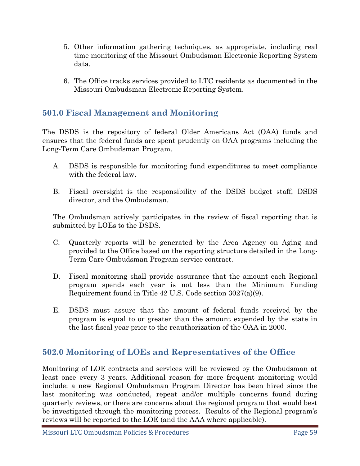- 5. Other information gathering techniques, as appropriate, including real time monitoring of the Missouri Ombudsman Electronic Reporting System data.
- 6. The Office tracks services provided to LTC residents as documented in the Missouri Ombudsman Electronic Reporting System.

### **501.0 Fiscal Management and Monitoring**

The DSDS is the repository of federal Older Americans Act (OAA) funds and ensures that the federal funds are spent prudently on OAA programs including the Long-Term Care Ombudsman Program.

- A. DSDS is responsible for monitoring fund expenditures to meet compliance with the federal law.
- B. Fiscal oversight is the responsibility of the DSDS budget staff, DSDS director, and the Ombudsman.

The Ombudsman actively participates in the review of fiscal reporting that is submitted by LOEs to the DSDS.

- C. Quarterly reports will be generated by the Area Agency on Aging and provided to the Office based on the reporting structure detailed in the Long-Term Care Ombudsman Program service contract.
- D. Fiscal monitoring shall provide assurance that the amount each Regional program spends each year is not less than the Minimum Funding Requirement found in Title 42 U.S. Code section 3027(a)(9).
- E. DSDS must assure that the amount of federal funds received by the program is equal to or greater than the amount expended by the state in the last fiscal year prior to the reauthorization of the OAA in 2000.

## **502.0 Monitoring of LOEs and Representatives of the Office**

Monitoring of LOE contracts and services will be reviewed by the Ombudsman at least once every 3 years. Additional reason for more frequent monitoring would include: a new Regional Ombudsman Program Director has been hired since the last monitoring was conducted, repeat and/or multiple concerns found during quarterly reviews, or there are concerns about the regional program that would best be investigated through the monitoring process. Results of the Regional program's reviews will be reported to the LOE (and the AAA where applicable).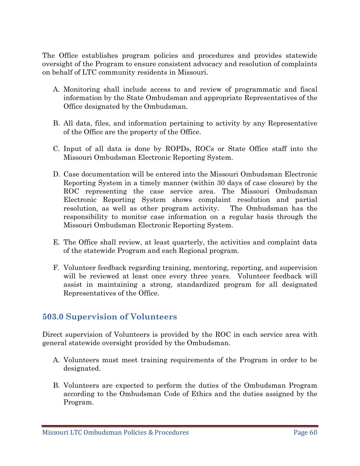The Office establishes program policies and procedures and provides statewide oversight of the Program to ensure consistent advocacy and resolution of complaints on behalf of LTC community residents in Missouri.

- A. Monitoring shall include access to and review of programmatic and fiscal information by the State Ombudsman and appropriate Representatives of the Office designated by the Ombudsman.
- B. All data, files, and information pertaining to activity by any Representative of the Office are the property of the Office.
- C. Input of all data is done by ROPDs, ROCs or State Office staff into the Missouri Ombudsman Electronic Reporting System.
- D. Case documentation will be entered into the Missouri Ombudsman Electronic Reporting System in a timely manner (within 30 days of case closure) by the ROC representing the case service area. The Missouri Ombudsman Electronic Reporting System shows complaint resolution and partial resolution, as well as other program activity. The Ombudsman has the responsibility to monitor case information on a regular basis through the Missouri Ombudsman Electronic Reporting System.
- E. The Office shall review, at least quarterly, the activities and complaint data of the statewide Program and each Regional program.
- F. Volunteer feedback regarding training, mentoring, reporting, and supervision will be reviewed at least once every three years. Volunteer feedback will assist in maintaining a strong, standardized program for all designated Representatives of the Office.

#### **503.0 Supervision of Volunteers**

Direct supervision of Volunteers is provided by the ROC in each service area with general statewide oversight provided by the Ombudsman.

- A. Volunteers must meet training requirements of the Program in order to be designated.
- B. Volunteers are expected to perform the duties of the Ombudsman Program according to the Ombudsman Code of Ethics and the duties assigned by the Program.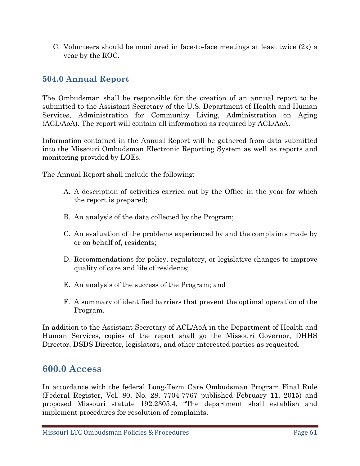C. Volunteers should be monitored in face-to-face meetings at least twice  $(2x)$  a year by the ROC.

## **504.0 Annual Report**

The Ombudsman shall be responsible for the creation of an annual report to be submitted to the Assistant Secretary of the U.S. Department of Health and Human Services, Administration for Community Living, Administration on Aging (ACL/AoA). The report will contain all information as required by ACL/AoA.

Information contained in the Annual Report will be gathered from data submitted into the Missouri Ombudsman Electronic Reporting System as well as reports and monitoring provided by LOEs.

The Annual Report shall include the following:

- A. A description of activities carried out by the Office in the year for which the report is prepared;
- B. An analysis of the data collected by the Program;
- C. An evaluation of the problems experienced by and the complaints made by or on behalf of, residents;
- D. Recommendations for policy, regulatory, or legislative changes to improve quality of care and life of residents;
- E. An analysis of the success of the Program; and
- F. A summary of identified barriers that prevent the optimal operation of the Program.

In addition to the Assistant Secretary of ACL/AoA in the Department of Health and Human Services, copies of the report shall go the Missouri Governor, DHHS Director, DSDS Director, legislators, and other interested parties as requested.

## **600.0 Access**

In accordance with the federal Long-Term Care Ombudsman Program Final Rule (Federal Register, Vol. 80, No. 28, 7704-7767 published February 11, 2015) and proposed Missouri statute 192.2305.4, "The department shall establish and implement procedures for resolution of complaints.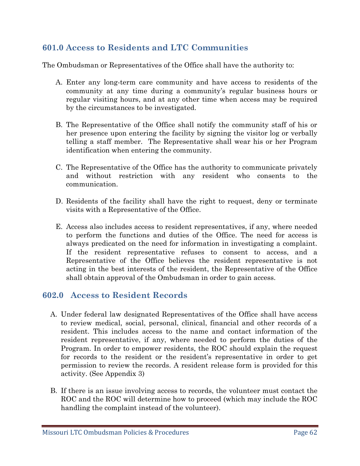## **601.0 Access to Residents and LTC Communities**

The Ombudsman or Representatives of the Office shall have the authority to:

- A. Enter any long-term care community and have access to residents of the community at any time during a community's regular business hours or regular visiting hours, and at any other time when access may be required by the circumstances to be investigated.
- B. The Representative of the Office shall notify the community staff of his or her presence upon entering the facility by signing the visitor log or verbally telling a staff member. The Representative shall wear his or her Program identification when entering the community.
- C. The Representative of the Office has the authority to communicate privately and without restriction with any resident who consents to the communication.
- D. Residents of the facility shall have the right to request, deny or terminate visits with a Representative of the Office.
- E. Access also includes access to resident representatives, if any, where needed to perform the functions and duties of the Office. The need for access is always predicated on the need for information in investigating a complaint. If the resident representative refuses to consent to access, and a Representative of the Office believes the resident representative is not acting in the best interests of the resident, the Representative of the Office shall obtain approval of the Ombudsman in order to gain access.

#### **602.0 Access to Resident Records**

- A. Under federal law designated Representatives of the Office shall have access to review medical, social, personal, clinical, financial and other records of a resident. This includes access to the name and contact information of the resident representative, if any, where needed to perform the duties of the Program. In order to empower residents, the ROC should explain the request for records to the resident or the resident's representative in order to get permission to review the records. A resident release form is provided for this activity. (See Appendix 3)
- B. If there is an issue involving access to records, the volunteer must contact the ROC and the ROC will determine how to proceed (which may include the ROC handling the complaint instead of the volunteer).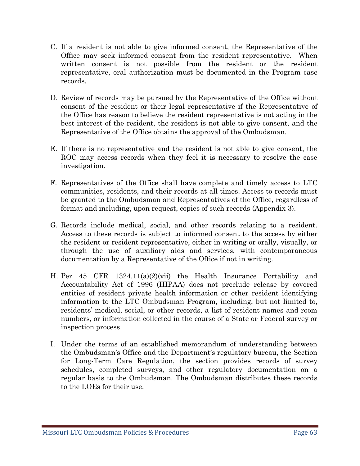- C. If a resident is not able to give informed consent, the Representative of the Office may seek informed consent from the resident representative. When written consent is not possible from the resident or the resident representative, oral authorization must be documented in the Program case records.
- D. Review of records may be pursued by the Representative of the Office without consent of the resident or their legal representative if the Representative of the Office has reason to believe the resident representative is not acting in the best interest of the resident, the resident is not able to give consent, and the Representative of the Office obtains the approval of the Ombudsman.
- E. If there is no representative and the resident is not able to give consent, the ROC may access records when they feel it is necessary to resolve the case investigation.
- F. Representatives of the Office shall have complete and timely access to LTC communities, residents, and their records at all times. Access to records must be granted to the Ombudsman and Representatives of the Office, regardless of format and including, upon request, copies of such records (Appendix 3).
- G. Records include medical, social, and other records relating to a resident. Access to these records is subject to informed consent to the access by either the resident or resident representative, either in writing or orally, visually, or through the use of auxiliary aids and services, with contemporaneous documentation by a Representative of the Office if not in writing.
- H. Per 45 CFR 1324.11(a)(2)(vii) the Health Insurance Portability and Accountability Act of 1996 (HIPAA) does not preclude release by covered entities of resident private health information or other resident identifying information to the LTC Ombudsman Program, including, but not limited to, residents' medical, social, or other records, a list of resident names and room numbers, or information collected in the course of a State or Federal survey or inspection process.
- I. Under the terms of an established memorandum of understanding between the Ombudsman's Office and the Department's regulatory bureau, the Section for Long-Term Care Regulation, the section provides records of survey schedules, completed surveys, and other regulatory documentation on a regular basis to the Ombudsman. The Ombudsman distributes these records to the LOEs for their use.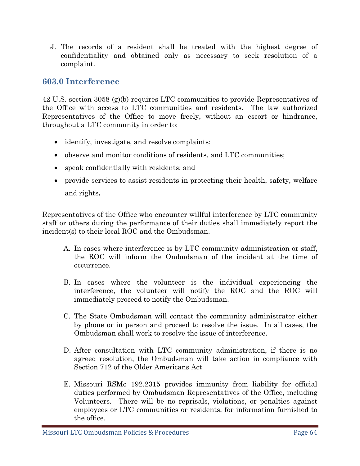J. The records of a resident shall be treated with the highest degree of confidentiality and obtained only as necessary to seek resolution of a complaint.

### **603.0 Interference**

42 U.S. section 3058 (g)(b) requires LTC communities to provide Representatives of the Office with access to LTC communities and residents. The law authorized Representatives of the Office to move freely, without an escort or hindrance, throughout a LTC community in order to:

- identify, investigate, and resolve complaints;
- observe and monitor conditions of residents, and LTC communities;
- speak confidentially with residents; and
- provide services to assist residents in protecting their health, safety, welfare and rights**.**

Representatives of the Office who encounter willful interference by LTC community staff or others during the performance of their duties shall immediately report the incident(s) to their local ROC and the Ombudsman.

- A. In cases where interference is by LTC community administration or staff, the ROC will inform the Ombudsman of the incident at the time of occurrence.
- B. In cases where the volunteer is the individual experiencing the interference, the volunteer will notify the ROC and the ROC will immediately proceed to notify the Ombudsman.
- C. The State Ombudsman will contact the community administrator either by phone or in person and proceed to resolve the issue. In all cases, the Ombudsman shall work to resolve the issue of interference.
- D. After consultation with LTC community administration, if there is no agreed resolution, the Ombudsman will take action in compliance with Section 712 of the Older Americans Act.
- E. Missouri RSMo 192.2315 provides immunity from liability for official duties performed by Ombudsman Representatives of the Office, including Volunteers. There will be no reprisals, violations, or penalties against employees or LTC communities or residents, for information furnished to the office.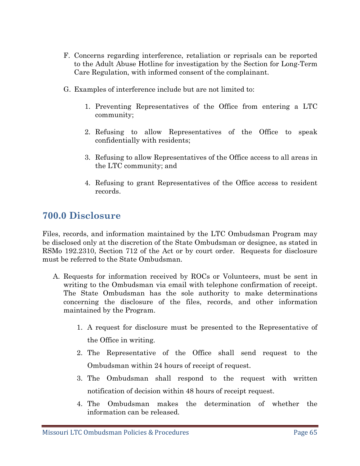- F. Concerns regarding interference, retaliation or reprisals can be reported to the Adult Abuse Hotline for investigation by the Section for Long-Term Care Regulation, with informed consent of the complainant.
- G. Examples of interference include but are not limited to:
	- 1. Preventing Representatives of the Office from entering a LTC community;
	- 2. Refusing to allow Representatives of the Office to speak confidentially with residents;
	- 3. Refusing to allow Representatives of the Office access to all areas in the LTC community; and
	- 4. Refusing to grant Representatives of the Office access to resident records.

# **700.0 Disclosure**

Files, records, and information maintained by the LTC Ombudsman Program may be disclosed only at the discretion of the State Ombudsman or designee, as stated in RSMo 192.2310, Section 712 of the Act or by court order. Requests for disclosure must be referred to the State Ombudsman.

- A. Requests for information received by ROCs or Volunteers, must be sent in writing to the Ombudsman via email with telephone confirmation of receipt. The State Ombudsman has the sole authority to make determinations concerning the disclosure of the files, records, and other information maintained by the Program.
	- 1. A request for disclosure must be presented to the Representative of the Office in writing.
	- 2. The Representative of the Office shall send request to the Ombudsman within 24 hours of receipt of request.
	- 3. The Ombudsman shall respond to the request with written notification of decision within 48 hours of receipt request.
	- 4. The Ombudsman makes the determination of whether the information can be released.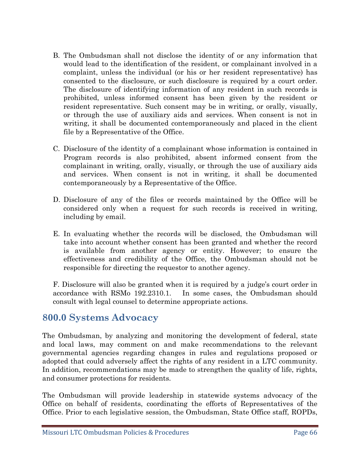- B. The Ombudsman shall not disclose the identity of or any information that would lead to the identification of the resident, or complainant involved in a complaint, unless the individual (or his or her resident representative) has consented to the disclosure, or such disclosure is required by a court order. The disclosure of identifying information of any resident in such records is prohibited, unless informed consent has been given by the resident or resident representative. Such consent may be in writing, or orally, visually, or through the use of auxiliary aids and services. When consent is not in writing, it shall be documented contemporaneously and placed in the client file by a Representative of the Office.
- C. Disclosure of the identity of a complainant whose information is contained in Program records is also prohibited, absent informed consent from the complainant in writing, orally, visually, or through the use of auxiliary aids and services. When consent is not in writing, it shall be documented contemporaneously by a Representative of the Office.
- D. Disclosure of any of the files or records maintained by the Office will be considered only when a request for such records is received in writing, including by email.
- E. In evaluating whether the records will be disclosed, the Ombudsman will take into account whether consent has been granted and whether the record is available from another agency or entity. However; to ensure the effectiveness and credibility of the Office, the Ombudsman should not be responsible for directing the requestor to another agency.

F. Disclosure will also be granted when it is required by a judge's court order in accordance with RSMo 192.2310.1. In some cases, the Ombudsman should consult with legal counsel to determine appropriate actions.

# **800.0 Systems Advocacy**

The Ombudsman, by analyzing and monitoring the development of federal, state and local laws, may comment on and make recommendations to the relevant governmental agencies regarding changes in rules and regulations proposed or adopted that could adversely affect the rights of any resident in a LTC community. In addition, recommendations may be made to strengthen the quality of life, rights, and consumer protections for residents.

The Ombudsman will provide leadership in statewide systems advocacy of the Office on behalf of residents, coordinating the efforts of Representatives of the Office. Prior to each legislative session, the Ombudsman, State Office staff, ROPDs,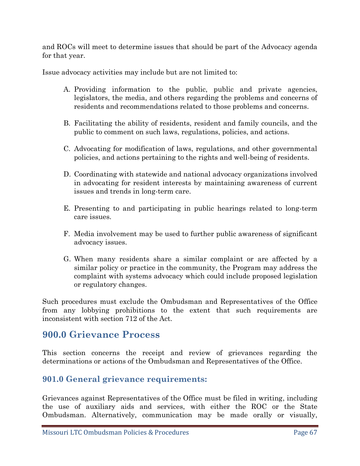and ROCs will meet to determine issues that should be part of the Advocacy agenda for that year.

Issue advocacy activities may include but are not limited to:

- A. Providing information to the public, public and private agencies, legislators, the media, and others regarding the problems and concerns of residents and recommendations related to those problems and concerns.
- B. Facilitating the ability of residents, resident and family councils, and the public to comment on such laws, regulations, policies, and actions.
- C. Advocating for modification of laws, regulations, and other governmental policies, and actions pertaining to the rights and well-being of residents.
- D. Coordinating with statewide and national advocacy organizations involved in advocating for resident interests by maintaining awareness of current issues and trends in long-term care.
- E. Presenting to and participating in public hearings related to long-term care issues.
- F. Media involvement may be used to further public awareness of significant advocacy issues.
- G. When many residents share a similar complaint or are affected by a similar policy or practice in the community, the Program may address the complaint with systems advocacy which could include proposed legislation or regulatory changes.

Such procedures must exclude the Ombudsman and Representatives of the Office from any lobbying prohibitions to the extent that such requirements are inconsistent with section 712 of the Act.

## **900.0 Grievance Process**

This section concerns the receipt and review of grievances regarding the determinations or actions of the Ombudsman and Representatives of the Office.

## **901.0 General grievance requirements:**

Grievances against Representatives of the Office must be filed in writing, including the use of auxiliary aids and services, with either the ROC or the State Ombudsman. Alternatively, communication may be made orally or visually,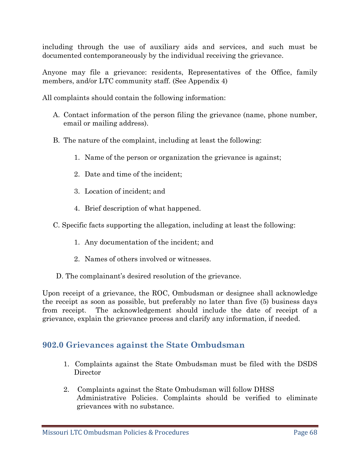including through the use of auxiliary aids and services, and such must be documented contemporaneously by the individual receiving the grievance.

Anyone may file a grievance: residents, Representatives of the Office, family members, and/or LTC community staff. (See Appendix 4)

All complaints should contain the following information:

- A. Contact information of the person filing the grievance (name, phone number, email or mailing address).
- B. The nature of the complaint, including at least the following:
	- 1. Name of the person or organization the grievance is against;
	- 2. Date and time of the incident;
	- 3. Location of incident; and
	- 4. Brief description of what happened.
- C. Specific facts supporting the allegation, including at least the following:
	- 1. Any documentation of the incident; and
	- 2. Names of others involved or witnesses.
- D. The complainant's desired resolution of the grievance.

Upon receipt of a grievance, the ROC, Ombudsman or designee shall acknowledge the receipt as soon as possible, but preferably no later than five (5) business days from receipt. The acknowledgement should include the date of receipt of a grievance, explain the grievance process and clarify any information, if needed.

#### **902.0 Grievances against the State Ombudsman**

- 1. Complaints against the State Ombudsman must be filed with the DSDS **Director**
- 2. Complaints against the State Ombudsman will follow DHSS Administrative Policies. Complaints should be verified to eliminate grievances with no substance.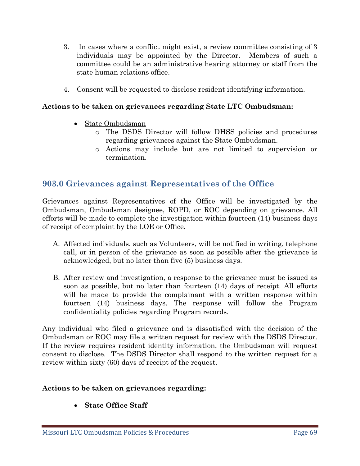- 3. In cases where a conflict might exist, a review committee consisting of 3 individuals may be appointed by the Director. Members of such a committee could be an administrative hearing attorney or staff from the state human relations office.
- 4. Consent will be requested to disclose resident identifying information.

#### **Actions to be taken on grievances regarding State LTC Ombudsman:**

- State Ombudsman
	- o The DSDS Director will follow DHSS policies and procedures regarding grievances against the State Ombudsman.
	- o Actions may include but are not limited to supervision or termination.

#### **903.0 Grievances against Representatives of the Office**

Grievances against Representatives of the Office will be investigated by the Ombudsman, Ombudsman designee, ROPD, or ROC depending on grievance. All efforts will be made to complete the investigation within fourteen (14) business days of receipt of complaint by the LOE or Office.

- A. Affected individuals, such as Volunteers, will be notified in writing, telephone call, or in person of the grievance as soon as possible after the grievance is acknowledged, but no later than five (5) business days.
- B. After review and investigation, a response to the grievance must be issued as soon as possible, but no later than fourteen (14) days of receipt. All efforts will be made to provide the complainant with a written response within fourteen (14) business days. The response will follow the Program confidentiality policies regarding Program records.

Any individual who filed a grievance and is dissatisfied with the decision of the Ombudsman or ROC may file a written request for review with the DSDS Director. If the review requires resident identity information, the Ombudsman will request consent to disclose. The DSDS Director shall respond to the written request for a review within sixty (60) days of receipt of the request.

#### **Actions to be taken on grievances regarding:**

• **State Office Staff**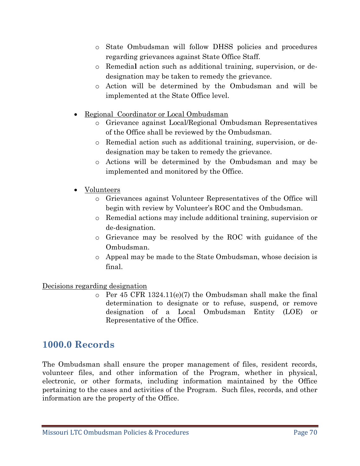- o State Ombudsman will follow DHSS policies and procedures regarding grievances against State Office Staff.
- o Remedia**l** action such as additional training, supervision, or dedesignation may be taken to remedy the grievance.
- o Action will be determined by the Ombudsman and will be implemented at the State Office level.
- Regional Coordinator or Local Ombudsman
	- o Grievance against Local/Regional Ombudsman Representatives of the Office shall be reviewed by the Ombudsman.
	- o Remedial action such as additional training, supervision, or dedesignation may be taken to remedy the grievance.
	- o Actions will be determined by the Ombudsman and may be implemented and monitored by the Office.
- Volunteers
	- o Grievances against Volunteer Representatives of the Office will begin with review by Volunteer's ROC and the Ombudsman.
	- o Remedial actions may include additional training, supervision or de-designation.
	- o Grievance may be resolved by the ROC with guidance of the Ombudsman.
	- o Appeal may be made to the State Ombudsman, whose decision is final.

#### Decisions regarding designation

o Per 45 CFR 1324.11(e)(7) the Ombudsman shall make the final determination to designate or to refuse, suspend, or remove designation of a Local Ombudsman Entity (LOE) or Representative of the Office.

# **1000.0 Records**

The Ombudsman shall ensure the proper management of files, resident records, volunteer files, and other information of the Program, whether in physical, electronic, or other formats, including information maintained by the Office pertaining to the cases and activities of the Program. Such files, records, and other information are the property of the Office.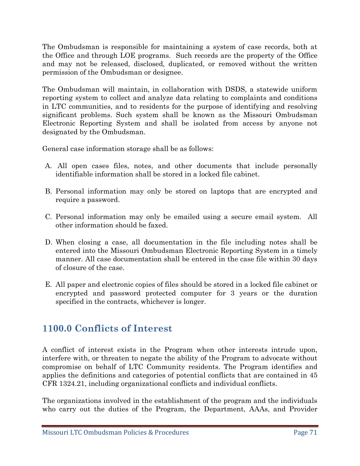The Ombudsman is responsible for maintaining a system of case records, both at the Office and through LOE programs. Such records are the property of the Office and may not be released, disclosed, duplicated, or removed without the written permission of the Ombudsman or designee.

The Ombudsman will maintain, in collaboration with DSDS, a statewide uniform reporting system to collect and analyze data relating to complaints and conditions in LTC communities, and to residents for the purpose of identifying and resolving significant problems. Such system shall be known as the Missouri Ombudsman Electronic Reporting System and shall be isolated from access by anyone not designated by the Ombudsman.

General case information storage shall be as follows:

- A. All open cases files, notes, and other documents that include personally identifiable information shall be stored in a locked file cabinet.
- B. Personal information may only be stored on laptops that are encrypted and require a password.
- C. Personal information may only be emailed using a secure email system. All other information should be faxed.
- D. When closing a case, all documentation in the file including notes shall be entered into the Missouri Ombudsman Electronic Reporting System in a timely manner. All case documentation shall be entered in the case file within 30 days of closure of the case.
- E. All paper and electronic copies of files should be stored in a locked file cabinet or encrypted and password protected computer for 3 years or the duration specified in the contracts, whichever is longer.

# **1100.0 Conflicts of Interest**

A conflict of interest exists in the Program when other interests intrude upon, interfere with, or threaten to negate the ability of the Program to advocate without compromise on behalf of LTC Community residents. The Program identifies and applies the definitions and categories of potential conflicts that are contained in 45 CFR 1324.21, including organizational conflicts and individual conflicts.

The organizations involved in the establishment of the program and the individuals who carry out the duties of the Program, the Department, AAAs, and Provider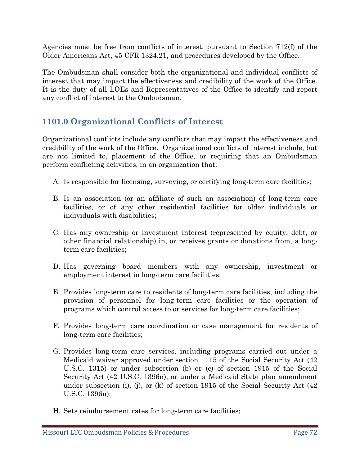Agencies must be free from conflicts of interest, pursuant to Section 712(f) of the Older Americans Act, 45 CFR 1324.21, and procedures developed by the Office.

The Ombudsman shall consider both the organizational and individual conflicts of interest that may impact the effectiveness and credibility of the work of the Office. It is the duty of all LOEs and Representatives of the Office to identify and report any conflict of interest to the Ombudsman.

## **1101.0 Organizational Conflicts of Interest**

Organizational conflicts include any conflicts that may impact the effectiveness and credibility of the work of the Office. Organizational conflicts of interest include, but are not limited to, placement of the Office, or requiring that an Ombudsman perform conflicting activities, in an organization that:

- A. Is responsible for licensing, surveying, or certifying long-term care facilities;
- B. Is an association (or an affiliate of such an association) of long-term care facilities, or of any other residential facilities for older individuals or individuals with disabilities;
- C. Has any ownership or investment interest (represented by equity, debt, or other financial relationship) in, or receives grants or donations from, a longterm care facilities;
- D. Has governing board members with any ownership, investment or employment interest in long-term care facilities;
- E. Provides long-term care to residents of long-term care facilities, including the provision of personnel for long-term care facilities or the operation of programs which control access to or services for long-term care facilities;
- F. Provides long-term care coordination or case management for residents of long-term care facilities;
- G. Provides long-term care services, including programs carried out under a Medicaid waiver approved under section 1115 of the Social Security Act (42 U.S.C. 1315) or under subsection (b) or (c) of section 1915 of the Social Security Act (42 U.S.C. 1396n), or under a Medicaid State plan amendment under subsection (i), (j), or (k) of section 1915 of the Social Security Act  $(42)$ U.S.C. 1396n);
- H. Sets reimbursement rates for long-term care facilities;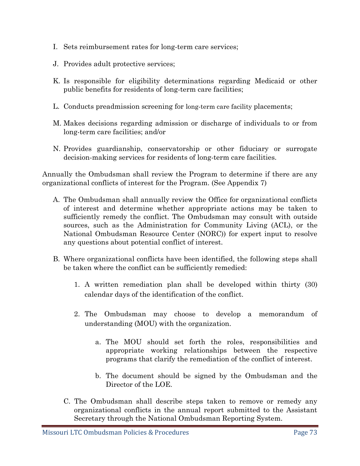- I. Sets reimbursement rates for long-term care services;
- J. Provides adult protective services;
- K. Is responsible for eligibility determinations regarding Medicaid or other public benefits for residents of long-term care facilities;
- L. Conducts preadmission screening for long-term care facility placements;
- M. Makes decisions regarding admission or discharge of individuals to or from long-term care facilities; and/or
- N. Provides guardianship, conservatorship or other fiduciary or surrogate decision-making services for residents of long-term care facilities.

Annually the Ombudsman shall review the Program to determine if there are any organizational conflicts of interest for the Program. (See Appendix 7)

- A. The Ombudsman shall annually review the Office for organizational conflicts of interest and determine whether appropriate actions may be taken to sufficiently remedy the conflict. The Ombudsman may consult with outside sources, such as the Administration for Community Living (ACL), or the National Ombudsman Resource Center (NORC)) for expert input to resolve any questions about potential conflict of interest.
- B. Where organizational conflicts have been identified, the following steps shall be taken where the conflict can be sufficiently remedied:
	- 1. A written remediation plan shall be developed within thirty (30) calendar days of the identification of the conflict.
	- 2. The Ombudsman may choose to develop a memorandum of understanding (MOU) with the organization.
		- a. The MOU should set forth the roles, responsibilities and appropriate working relationships between the respective programs that clarify the remediation of the conflict of interest.
		- b. The document should be signed by the Ombudsman and the Director of the LOE.
	- C. The Ombudsman shall describe steps taken to remove or remedy any organizational conflicts in the annual report submitted to the Assistant Secretary through the National Ombudsman Reporting System.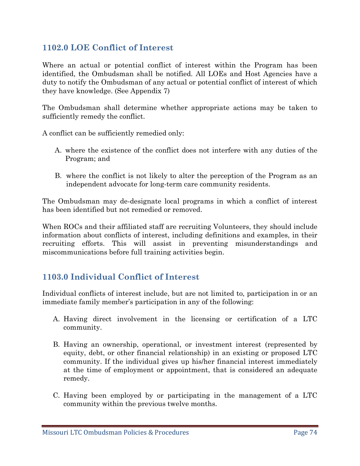## **1102.0 LOE Conflict of Interest**

Where an actual or potential conflict of interest within the Program has been identified, the Ombudsman shall be notified. All LOEs and Host Agencies have a duty to notify the Ombudsman of any actual or potential conflict of interest of which they have knowledge. (See Appendix 7)

The Ombudsman shall determine whether appropriate actions may be taken to sufficiently remedy the conflict.

A conflict can be sufficiently remedied only:

- A. where the existence of the conflict does not interfere with any duties of the Program; and
- B. where the conflict is not likely to alter the perception of the Program as an independent advocate for long-term care community residents.

The Ombudsman may de-designate local programs in which a conflict of interest has been identified but not remedied or removed.

When ROCs and their affiliated staff are recruiting Volunteers, they should include information about conflicts of interest, including definitions and examples, in their recruiting efforts. This will assist in preventing misunderstandings and miscommunications before full training activities begin.

# **1103.0 Individual Conflict of Interest**

Individual conflicts of interest include, but are not limited to, participation in or an immediate family member's participation in any of the following:

- A. Having direct involvement in the licensing or certification of a LTC community.
- B. Having an ownership, operational, or investment interest (represented by equity, debt, or other financial relationship) in an existing or proposed LTC community. If the individual gives up his/her financial interest immediately at the time of employment or appointment, that is considered an adequate remedy.
- C. Having been employed by or participating in the management of a LTC community within the previous twelve months.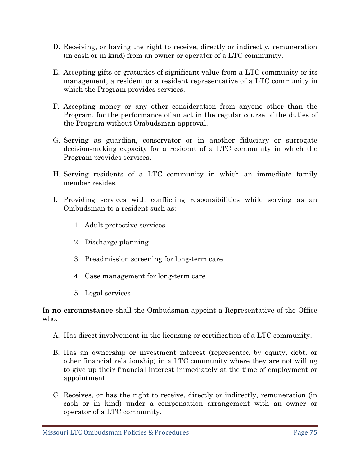- D. Receiving, or having the right to receive, directly or indirectly, remuneration (in cash or in kind) from an owner or operator of a LTC community.
- E. Accepting gifts or gratuities of significant value from a LTC community or its management, a resident or a resident representative of a LTC community in which the Program provides services.
- F. Accepting money or any other consideration from anyone other than the Program, for the performance of an act in the regular course of the duties of the Program without Ombudsman approval.
- G. Serving as guardian, conservator or in another fiduciary or surrogate decision-making capacity for a resident of a LTC community in which the Program provides services.
- H. Serving residents of a LTC community in which an immediate family member resides.
- I. Providing services with conflicting responsibilities while serving as an Ombudsman to a resident such as:
	- 1. Adult protective services
	- 2. Discharge planning
	- 3. Preadmission screening for long-term care
	- 4. Case management for long-term care
	- 5. Legal services

In **no circumstance** shall the Ombudsman appoint a Representative of the Office who:

- A. Has direct involvement in the licensing or certification of a LTC community.
- B. Has an ownership or investment interest (represented by equity, debt, or other financial relationship) in a LTC community where they are not willing to give up their financial interest immediately at the time of employment or appointment.
- C. Receives, or has the right to receive, directly or indirectly, remuneration (in cash or in kind) under a compensation arrangement with an owner or operator of a LTC community.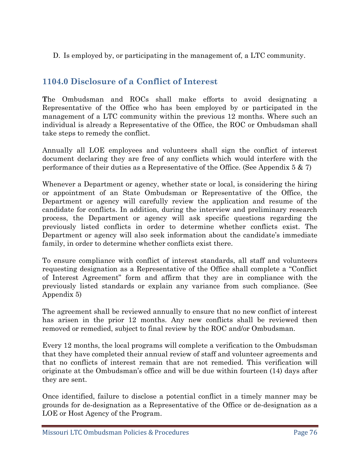D. Is employed by, or participating in the management of, a LTC community.

# **1104.0 Disclosure of a Conflict of Interest**

**T**he Ombudsman and ROCs shall make efforts to avoid designating a Representative of the Office who has been employed by or participated in the management of a LTC community within the previous 12 months. Where such an individual is already a Representative of the Office, the ROC or Ombudsman shall take steps to remedy the conflict.

Annually all LOE employees and volunteers shall sign the conflict of interest document declaring they are free of any conflicts which would interfere with the performance of their duties as a Representative of the Office. (See Appendix 5 & 7)

Whenever a Department or agency, whether state or local, is considering the hiring or appointment of an State Ombudsman or Representative of the Office, the Department or agency will carefully review the application and resume of the candidate for conflicts. In addition, during the interview and preliminary research process, the Department or agency will ask specific questions regarding the previously listed conflicts in order to determine whether conflicts exist. The Department or agency will also seek information about the candidate's immediate family, in order to determine whether conflicts exist there.

To ensure compliance with conflict of interest standards, all staff and volunteers requesting designation as a Representative of the Office shall complete a "Conflict of Interest Agreement" form and affirm that they are in compliance with the previously listed standards or explain any variance from such compliance. (See Appendix 5)

The agreement shall be reviewed annually to ensure that no new conflict of interest has arisen in the prior 12 months. Any new conflicts shall be reviewed then removed or remedied, subject to final review by the ROC and/or Ombudsman.

Every 12 months, the local programs will complete a verification to the Ombudsman that they have completed their annual review of staff and volunteer agreements and that no conflicts of interest remain that are not remedied. This verification will originate at the Ombudsman's office and will be due within fourteen (14) days after they are sent.

Once identified, failure to disclose a potential conflict in a timely manner may be grounds for de-designation as a Representative of the Office or de-designation as a LOE or Host Agency of the Program.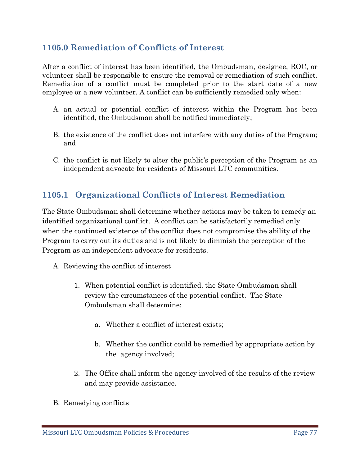# **1105.0 Remediation of Conflicts of Interest**

After a conflict of interest has been identified, the Ombudsman, designee, ROC, or volunteer shall be responsible to ensure the removal or remediation of such conflict. Remediation of a conflict must be completed prior to the start date of a new employee or a new volunteer. A conflict can be sufficiently remedied only when:

- A. an actual or potential conflict of interest within the Program has been identified, the Ombudsman shall be notified immediately;
- B. the existence of the conflict does not interfere with any duties of the Program; and
- C. the conflict is not likely to alter the public's perception of the Program as an independent advocate for residents of Missouri LTC communities.

# **1105.1 Organizational Conflicts of Interest Remediation**

The State Ombudsman shall determine whether actions may be taken to remedy an identified organizational conflict. A conflict can be satisfactorily remedied only when the continued existence of the conflict does not compromise the ability of the Program to carry out its duties and is not likely to diminish the perception of the Program as an independent advocate for residents.

- A. Reviewing the conflict of interest
	- 1. When potential conflict is identified, the State Ombudsman shall review the circumstances of the potential conflict. The State Ombudsman shall determine:
		- a. Whether a conflict of interest exists;
		- b. Whether the conflict could be remedied by appropriate action by the agency involved;
	- 2. The Office shall inform the agency involved of the results of the review and may provide assistance.
- B. Remedying conflicts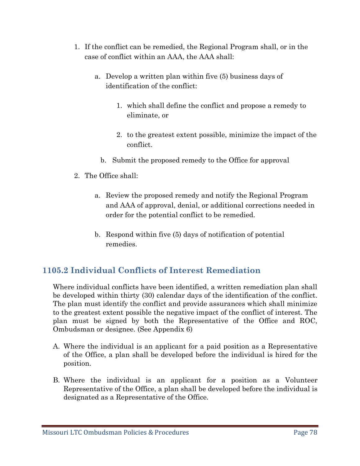- 1. If the conflict can be remedied, the Regional Program shall, or in the case of conflict within an AAA, the AAA shall:
	- a. Develop a written plan within five (5) business days of identification of the conflict:
		- 1. which shall define the conflict and propose a remedy to eliminate, or
		- 2. to the greatest extent possible, minimize the impact of the conflict.
		- b. Submit the proposed remedy to the Office for approval
- 2. The Office shall:
	- a. Review the proposed remedy and notify the Regional Program and AAA of approval, denial, or additional corrections needed in order for the potential conflict to be remedied.
	- b. Respond within five (5) days of notification of potential remedies.

# **1105.2 Individual Conflicts of Interest Remediation**

Where individual conflicts have been identified, a written remediation plan shall be developed within thirty (30) calendar days of the identification of the conflict. The plan must identify the conflict and provide assurances which shall minimize to the greatest extent possible the negative impact of the conflict of interest. The plan must be signed by both the Representative of the Office and ROC, Ombudsman or designee. (See Appendix 6)

- A. Where the individual is an applicant for a paid position as a Representative of the Office, a plan shall be developed before the individual is hired for the position.
- B. Where the individual is an applicant for a position as a Volunteer Representative of the Office, a plan shall be developed before the individual is designated as a Representative of the Office.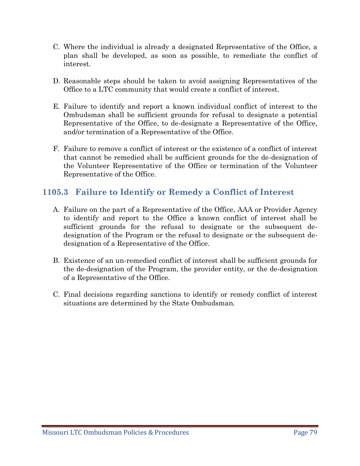- C. Where the individual is already a designated Representative of the Office, a plan shall be developed, as soon as possible, to remediate the conflict of interest.
- D. Reasonable steps should be taken to avoid assigning Representatives of the Office to a LTC community that would create a conflict of interest.
- E. Failure to identify and report a known individual conflict of interest to the Ombudsman shall be sufficient grounds for refusal to designate a potential Representative of the Office, to de-designate a Representative of the Office, and/or termination of a Representative of the Office.
- F. Failure to remove a conflict of interest or the existence of a conflict of interest that cannot be remedied shall be sufficient grounds for the de-designation of the Volunteer Representative of the Office or termination of the Volunteer Representative of the Office.

# **1105.3 Failure to Identify or Remedy a Conflict of Interest**

- A. Failure on the part of a Representative of the Office, AAA or Provider Agency to identify and report to the Office a known conflict of interest shall be sufficient grounds for the refusal to designate or the subsequent dedesignation of the Program or the refusal to designate or the subsequent dedesignation of a Representative of the Office.
- B. Existence of an un-remedied conflict of interest shall be sufficient grounds for the de-designation of the Program, the provider entity, or the de-designation of a Representative of the Office.
- C. Final decisions regarding sanctions to identify or remedy conflict of interest situations are determined by the State Ombudsman.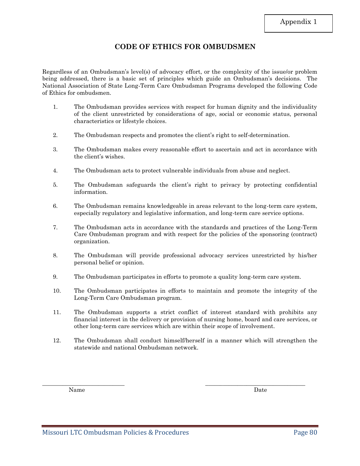## **CODE OF ETHICS FOR OMBUDSMEN**

Regardless of an Ombudsman's level(s) of advocacy effort, or the complexity of the issue/or problem being addressed, there is a basic set of principles which guide an Ombudsman's decisions. The National Association of State Long-Term Care Ombudsman Programs developed the following Code of Ethics for ombudsmen.

- 1. The Ombudsman provides services with respect for human dignity and the individuality of the client unrestricted by considerations of age, social or economic status, personal characteristics or lifestyle choices.
- 2. The Ombudsman respects and promotes the client's right to self-determination.
- 3. The Ombudsman makes every reasonable effort to ascertain and act in accordance with the client's wishes.
- 4. The Ombudsman acts to protect vulnerable individuals from abuse and neglect.
- 5. The Ombudsman safeguards the client's right to privacy by protecting confidential information.
- 6. The Ombudsman remains knowledgeable in areas relevant to the long-term care system, especially regulatory and legislative information, and long-term care service options.
- 7. The Ombudsman acts in accordance with the standards and practices of the Long-Term Care Ombudsman program and with respect for the policies of the sponsoring (contract) organization.
- 8. The Ombudsman will provide professional advocacy services unrestricted by his/her personal belief or opinion.
- 9. The Ombudsman participates in efforts to promote a quality long-term care system.
- 10. The Ombudsman participates in efforts to maintain and promote the integrity of the Long-Term Care Ombudsman program.
- 11. The Ombudsman supports a strict conflict of interest standard with prohibits any financial interest in the delivery or provision of nursing home, board and care services, or other long-term care services which are within their scope of involvement.
- 12. The Ombudsman shall conduct himself/herself in a manner which will strengthen the statewide and national Ombudsman network.

\_\_\_\_\_\_\_\_\_\_\_\_\_\_\_\_\_\_\_\_\_\_\_\_\_\_\_\_ \_\_\_\_\_\_\_\_\_\_\_\_\_\_\_\_\_\_\_\_\_\_\_\_\_\_\_\_\_\_\_\_\_\_

Name Date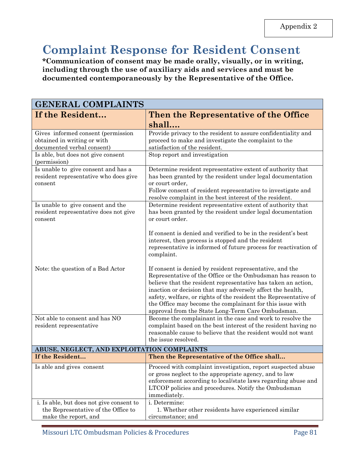# **Complaint Response for Resident Consent**

**\*Communication of consent may be made orally, visually, or in writing, including through the use of auxiliary aids and services and must be documented contemporaneously by the Representative of the Office.**

| <b>GENERAL COMPLAINTS</b>                                                                               |                                                                                                                                                                                                                                                                                                                                                                                                                                              |
|---------------------------------------------------------------------------------------------------------|----------------------------------------------------------------------------------------------------------------------------------------------------------------------------------------------------------------------------------------------------------------------------------------------------------------------------------------------------------------------------------------------------------------------------------------------|
| If the Resident                                                                                         | Then the Representative of the Office                                                                                                                                                                                                                                                                                                                                                                                                        |
|                                                                                                         | shall                                                                                                                                                                                                                                                                                                                                                                                                                                        |
| Gives informed consent (permission<br>obtained in writing or with<br>documented verbal consent)         | Provide privacy to the resident to assure confidentiality and<br>proceed to make and investigate the complaint to the<br>satisfaction of the resident.                                                                                                                                                                                                                                                                                       |
| Is able, but does not give consent<br>(permission)                                                      | Stop report and investigation                                                                                                                                                                                                                                                                                                                                                                                                                |
| Is unable to give consent and has a<br>resident representative who does give<br>consent                 | Determine resident representative extent of authority that<br>has been granted by the resident under legal documentation<br>or court order,<br>Follow consent of resident representative to investigate and<br>resolve complaint in the best interest of the resident.                                                                                                                                                                       |
| Is unable to give consent and the<br>resident representative does not give<br>consent                   | Determine resident representative extent of authority that<br>has been granted by the resident under legal documentation<br>or court order.                                                                                                                                                                                                                                                                                                  |
|                                                                                                         | If consent is denied and verified to be in the resident's best<br>interest, then process is stopped and the resident<br>representative is informed of future process for reactivation of<br>complaint.                                                                                                                                                                                                                                       |
| Note: the question of a Bad Actor                                                                       | If consent is denied by resident representative, and the<br>Representative of the Office or the Ombudsman has reason to<br>believe that the resident representative has taken an action,<br>inaction or decision that may adversely affect the health,<br>safety, welfare, or rights of the resident the Representative of<br>the Office may become the complainant for this issue with<br>approval from the State Long-Term Care Ombudsman. |
| Not able to consent and has NO<br>resident representative                                               | Become the complainant in the case and work to resolve the<br>complaint based on the best interest of the resident having no<br>reasonable cause to believe that the resident would not want<br>the issue resolved.                                                                                                                                                                                                                          |
| ABUSE, NEGLECT, AND EXPLOITATION COMPLAINTS                                                             |                                                                                                                                                                                                                                                                                                                                                                                                                                              |
| If the Resident                                                                                         | Then the Representative of the Office shall                                                                                                                                                                                                                                                                                                                                                                                                  |
| Is able and gives consent                                                                               | Proceed with complaint investigation, report suspected abuse<br>or gross neglect to the appropriate agency, and to law<br>enforcement according to local/state laws regarding abuse and<br>LTCOP policies and procedures. Notify the Ombudsman<br>immediately.                                                                                                                                                                               |
| i. Is able, but does not give consent to<br>the Representative of the Office to<br>make the report, and | i. Determine:<br>1. Whether other residents have experienced similar<br>circumstance; and                                                                                                                                                                                                                                                                                                                                                    |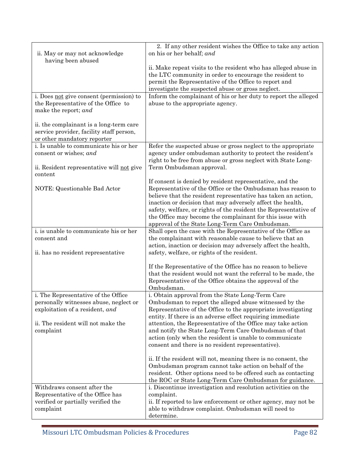|                                           | 2. If any other resident wishes the Office to take any action                                                        |
|-------------------------------------------|----------------------------------------------------------------------------------------------------------------------|
| ii. May or may not acknowledge            | on his or her behalf; and                                                                                            |
| having been abused                        |                                                                                                                      |
|                                           | ii. Make repeat visits to the resident who has alleged abuse in                                                      |
|                                           | the LTC community in order to encourage the resident to                                                              |
|                                           | permit the Representative of the Office to report and                                                                |
|                                           | investigate the suspected abuse or gross neglect.                                                                    |
| i. Does not give consent (permission) to  | Inform the complainant of his or her duty to report the alleged                                                      |
| the Representative of the Office to       | abuse to the appropriate agency.                                                                                     |
| make the report; and                      |                                                                                                                      |
| ii. the complainant is a long-term care   |                                                                                                                      |
| service provider, facility staff person,  |                                                                                                                      |
| or other mandatory reporter               |                                                                                                                      |
| i. Is unable to communicate his or her    | Refer the suspected abuse or gross neglect to the appropriate                                                        |
| consent or wishes; and                    | agency under ombudsman authority to protect the resident's                                                           |
|                                           | right to be free from abuse or gross neglect with State Long-                                                        |
| ii. Resident representative will not give | Term Ombudsman approval.                                                                                             |
| content                                   |                                                                                                                      |
|                                           | If consent is denied by resident representative, and the                                                             |
| NOTE: Questionable Bad Actor              | Representative of the Office or the Ombudsman has reason to                                                          |
|                                           | believe that the resident representative has taken an action,                                                        |
|                                           | inaction or decision that may adversely affect the health,                                                           |
|                                           | safety, welfare, or rights of the resident the Representative of                                                     |
|                                           | the Office may become the complainant for this issue with                                                            |
| i. is unable to communicate his or her    | approval of the State Long-Term Care Ombudsman.<br>Shall open the case with the Representative of the Office as      |
| consent and                               | the complainant with reasonable cause to believe that an                                                             |
|                                           | action, inaction or decision may adversely affect the health,                                                        |
| ii. has no resident representative        | safety, welfare, or rights of the resident.                                                                          |
|                                           |                                                                                                                      |
|                                           | If the Representative of the Office has no reason to believe                                                         |
|                                           | that the resident would not want the referral to be made, the                                                        |
|                                           | Representative of the Office obtains the approval of the                                                             |
|                                           | Ombudsman.                                                                                                           |
| i. The Representative of the Office       | i. Obtain approval from the State Long-Term Care                                                                     |
| personally witnesses abuse, neglect or    | Ombudsman to report the alleged abuse witnessed by the                                                               |
| exploitation of a resident, and           | Representative of the Office to the appropriate investigating                                                        |
| ii. The resident will not make the        | entity. If there is an adverse effect requiring immediate                                                            |
| complaint                                 | attention, the Representative of the Office may take action<br>and notify the State Long-Term Care Ombudsman of that |
|                                           | action (only when the resident is unable to communicate                                                              |
|                                           | consent and there is no resident representative).                                                                    |
|                                           |                                                                                                                      |
|                                           | ii. If the resident will not, meaning there is no consent, the                                                       |
|                                           | Ombudsman program cannot take action on behalf of the                                                                |
|                                           | resident. Other options need to be offered such as contacting                                                        |
|                                           | the ROC or State Long-Term Care Ombudsman for guidance.                                                              |
| Withdraws consent after the               | i. Discontinue investigation and resolution activities on the                                                        |
| Representative of the Office has          | complaint.                                                                                                           |
| verified or partially verified the        | ii. If reported to law enforcement or other agency, may not be                                                       |
| complaint                                 | able to withdraw complaint. Ombudsman will need to                                                                   |
|                                           | determine.                                                                                                           |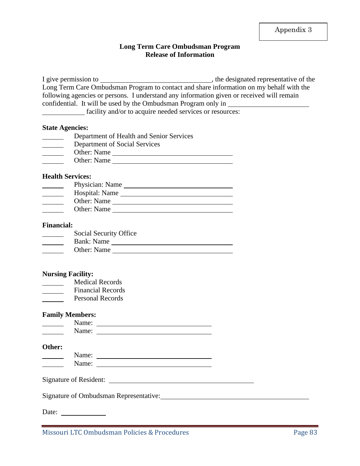#### **Long Term Care Ombudsman Program Release of Information**

I give permission to , the designated representative of the Long Term Care Ombudsman Program to contact and share information on my behalf with the following agencies or persons. I understand any information given or received will remain confidential. It will be used by the Ombudsman Program only in facility and/or to acquire needed services or resources:

#### **State Agencies:**

| Department of Health and Senior Services |
|------------------------------------------|
| Department of Social Services            |
| Other: Name                              |
| Other: Name                              |

#### **Health Services:**

| Physician: Name |
|-----------------|
| Hospital: Name  |
| Other: Name     |
| Other: Name     |
|                 |

#### **Financial:**

| Social Security Office |
|------------------------|
| Bank: Name             |
| Other: Name            |
|                        |

#### **Nursing Facility:**

- Medical Records  $\overline{\phantom{a}}$
- Financial Records
- Personal Records

#### **Family Members:**

#### **Other:**

| N<br>$\cdots$<br><br>- |  |
|------------------------|--|
| N<br>s.<br>__v.        |  |

Signature of Resident:

Signature of Ombudsman Representative: 1986. The Second State of Ombudsman Representative:

Date: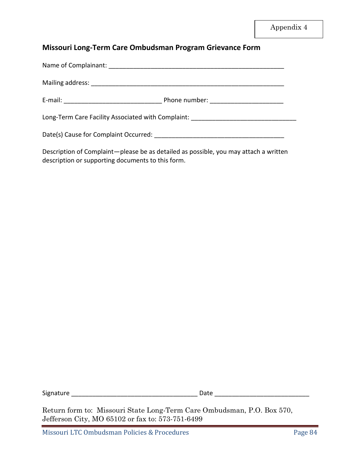## **Missouri Long-Term Care Ombudsman Program Grievance Form**

| Phone number: ________________________                                           |
|----------------------------------------------------------------------------------|
| Long-Term Care Facility Associated with Complaint: _____________________________ |
|                                                                                  |

Description of Complaint—please be as detailed as possible, you may attach a written description or supporting documents to this form.

Signature \_\_\_\_\_\_\_\_\_\_\_\_\_\_\_\_\_\_\_\_\_\_\_\_\_\_\_\_\_\_\_\_\_\_\_\_ Date \_\_\_\_\_\_\_\_\_\_\_\_\_\_\_\_\_\_\_\_\_\_\_\_\_\_\_

Return form to: Missouri State Long-Term Care Ombudsman, P.O. Box 570, Jefferson City, MO 65102 or fax to: 573-751-6499

Missouri LTC Ombudsman Policies & Procedures **Page 84**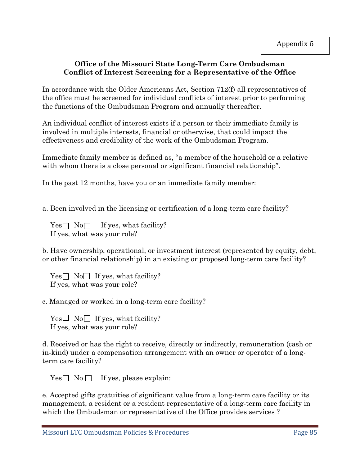## **Office of the Missouri State Long-Term Care Ombudsman Conflict of Interest Screening for a Representative of the Office**

In accordance with the Older Americans Act, Section 712(f) all representatives of the office must be screened for individual conflicts of interest prior to performing the functions of the Ombudsman Program and annually thereafter.

An individual conflict of interest exists if a person or their immediate family is involved in multiple interests, financial or otherwise, that could impact the effectiveness and credibility of the work of the Ombudsman Program.

Immediate family member is defined as, "a member of the household or a relative with whom there is a close personal or significant financial relationship".

In the past 12 months, have you or an immediate family member:

a. Been involved in the licensing or certification of a long-term care facility?

 $Yes \Box No \Box If yes, what facility?$ If yes, what was your role?

b. Have ownership, operational, or investment interest (represented by equity, debt, or other financial relationship) in an existing or proposed long-term care facility?

 $Yes \Box No \Box If yes, what facility?$ If yes, what was your role?

c. Managed or worked in a long-term care facility?

 $Yes \Box No \Box If yes, what facility?$ If yes, what was your role?

d. Received or has the right to receive, directly or indirectly, remuneration (cash or in-kind) under a compensation arrangement with an owner or operator of a longterm care facility?

 $Yes \Box No \Box If yes, please explain:$ 

e. Accepted gifts gratuities of significant value from a long-term care facility or its management, a resident or a resident representative of a long-term care facility in which the Ombudsman or representative of the Office provides services ?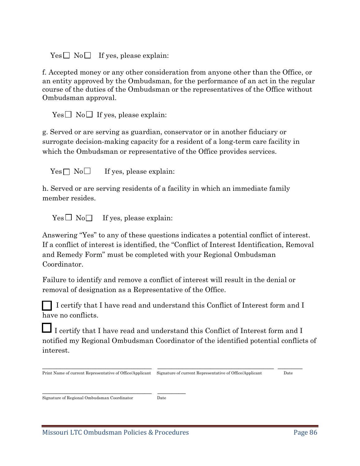$Yes \Box No \Box If yes, please explain:$ 

f. Accepted money or any other consideration from anyone other than the Office, or an entity approved by the Ombudsman, for the performance of an act in the regular course of the duties of the Ombudsman or the representatives of the Office without Ombudsman approval.

 $Yes \Box No \Box If yes, please explain:$ 

g. Served or are serving as guardian, conservator or in another fiduciary or surrogate decision-making capacity for a resident of a long-term care facility in which the Ombudsman or representative of the Office provides services.

 $Yes \Box No \Box$  If yes, please explain:

h. Served or are serving residents of a facility in which an immediate family member resides.

 $Yes \Box No \Box$  If yes, please explain:

Answering "Yes" to any of these questions indicates a potential conflict of interest. If a conflict of interest is identified, the "Conflict of Interest Identification, Removal and Remedy Form" must be completed with your Regional Ombudsman Coordinator.

Failure to identify and remove a conflict of interest will result in the denial or removal of designation as a Representative of the Office.

 I certify that I have read and understand this Conflict of Interest form and I have no conflicts.

I certify that I have read and understand this Conflict of Interest form and I notified my Regional Ombudsman Coordinator of the identified potential conflicts of interest.

 $\_$  , and the set of the set of the set of the set of the set of the set of the set of the set of the set of the set of the set of the set of the set of the set of the set of the set of the set of the set of the set of th

Print Name of current Representative of Office/Applicant Signature of current Representative of Office/Applicant Date

Signature of Regional Ombudsman Coordinator Date

\_\_\_\_\_\_\_\_\_\_\_\_\_\_\_\_\_\_\_\_\_\_\_\_\_\_\_\_\_\_\_ \_\_\_\_\_\_\_\_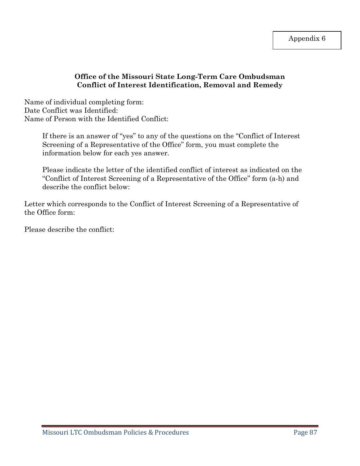## **Office of the Missouri State Long-Term Care Ombudsman Conflict of Interest Identification, Removal and Remedy**

Name of individual completing form: Date Conflict was Identified: Name of Person with the Identified Conflict:

> If there is an answer of "yes" to any of the questions on the "Conflict of Interest Screening of a Representative of the Office" form, you must complete the information below for each yes answer.

> Please indicate the letter of the identified conflict of interest as indicated on the "Conflict of Interest Screening of a Representative of the Office" form (a-h) and describe the conflict below:

Letter which corresponds to the Conflict of Interest Screening of a Representative of the Office form:

Please describe the conflict: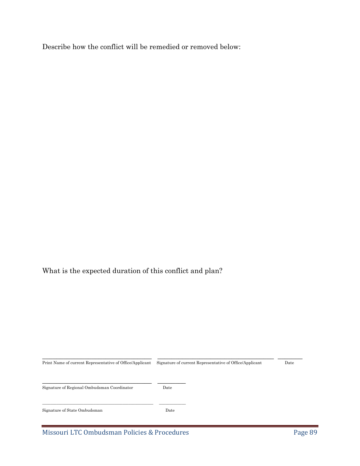Describe how the conflict will be remedied or removed below:

What is the expected duration of this conflict and plan?

| Print Name of current Representative of Office/Applicant | Signature of current Representative of Office/Applicant | Date |  |
|----------------------------------------------------------|---------------------------------------------------------|------|--|
| Signature of Regional Ombudsman Coordinator              | Date                                                    |      |  |
| Signature of State Ombudsman                             | Date                                                    |      |  |

\_\_\_\_\_\_\_\_\_\_\_\_\_\_\_\_\_\_\_\_\_\_\_\_\_\_\_\_\_\_\_ \_\_\_\_\_\_\_\_\_\_\_\_\_\_\_\_\_\_\_\_\_\_\_\_\_\_\_\_\_\_\_\_\_ \_\_\_\_\_\_\_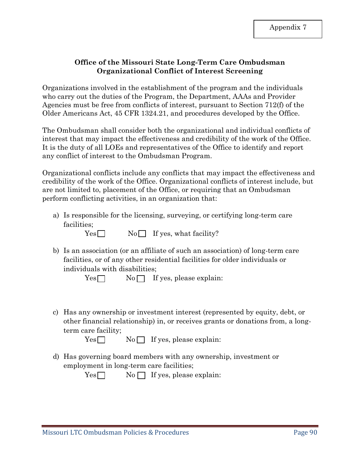## **Office of the Missouri State Long-Term Care Ombudsman Organizational Conflict of Interest Screening**

Organizations involved in the establishment of the program and the individuals who carry out the duties of the Program, the Department, AAAs and Provider Agencies must be free from conflicts of interest, pursuant to Section 712(f) of the Older Americans Act, 45 CFR 1324.21, and procedures developed by the Office.

The Ombudsman shall consider both the organizational and individual conflicts of interest that may impact the effectiveness and credibility of the work of the Office. It is the duty of all LOEs and representatives of the Office to identify and report any conflict of interest to the Ombudsman Program.

Organizational conflicts include any conflicts that may impact the effectiveness and credibility of the work of the Office. Organizational conflicts of interest include, but are not limited to, placement of the Office, or requiring that an Ombudsman perform conflicting activities, in an organization that:

- a) Is responsible for the licensing, surveying, or certifying long-term care facilities;
	- $Yes \Box$  No If yes, what facility?
- b) Is an association (or an affiliate of such an association) of long-term care facilities, or of any other residential facilities for older individuals or individuals with disabilities;

 $Yes \Box$  No  $\Box$  If yes, please explain:

c) Has any ownership or investment interest (represented by equity, debt, or other financial relationship) in, or receives grants or donations from, a longterm care facility;

 $Yes \Box$  No  $\Box$  If yes, please explain:

d) Has governing board members with any ownership, investment or employment in long-term care facilities;

|--|--|--|

 $No \bigcap$  If yes, please explain: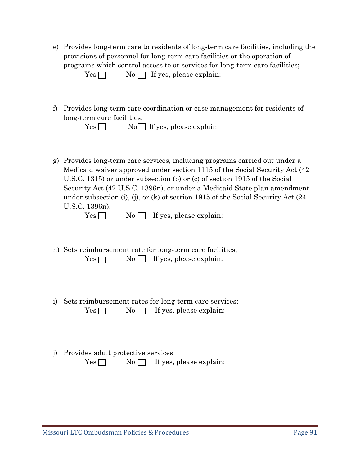e) Provides long-term care to residents of long-term care facilities, including the provisions of personnel for long-term care facilities or the operation of programs which control access to or services for long-term care facilities;

 $Yes \Box$  No  $\Box$  If yes, please explain:

f) Provides long-term care coordination or case management for residents of long-term care facilities;

|  | $Yes \Box$ |  |  |  | $No \Box$ If yes, please explain: |
|--|------------|--|--|--|-----------------------------------|
|--|------------|--|--|--|-----------------------------------|

g) Provides long-term care services, including programs carried out under a Medicaid waiver approved under section 1115 of the Social Security Act (42 U.S.C. 1315) or under subsection (b) or (c) of section 1915 of the Social Security Act (42 U.S.C. 1396n), or under a Medicaid State plan amendment under subsection (i), (j), or (k) of section 1915 of the Social Security Act (24 U.S.C. 1396n);

- $Yes \tNo \tI if yes, please explain:$
- h) Sets reimbursement rate for long-term care facilities;  $Yes \Box$  No  $\Box$  If yes, please explain:
- i) Sets reimbursement rates for long-term care services;  $Yes \nightharpoonup No \nightharpoonup If yes, please explain:$
- j) Provides adult protective services

 $Yes \nightharpoonup No \nightharpoonup If yes, please explain:$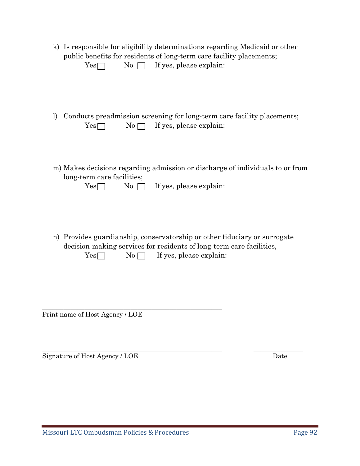| k) Is responsible for eligibility determinations regarding Medicaid or other |
|------------------------------------------------------------------------------|
| public benefits for residents of long-term care facility placements;         |

| Yes | No $\Box$ If yes, please explain: |  |
|-----|-----------------------------------|--|

- l) Conducts preadmission screening for long-term care facility placements;  $Yes \nightharpoonup No \nightharpoonup If yes, please explain:$
- m) Makes decisions regarding admission or discharge of individuals to or from long-term care facilities;

| $Yes \Box$ |  |  | No $\Box$ If yes, please explain: |
|------------|--|--|-----------------------------------|

n) Provides guardianship, conservatorship or other fiduciary or surrogate decision-making services for residents of long-term care facilities,  $Yes \Box$  No  $\Box$  If yes, please explain:

 $\_$  , and the set of the set of the set of the set of the set of the set of the set of the set of the set of the set of the set of the set of the set of the set of the set of the set of the set of the set of the set of th

Print name of Host Agency / LOE

\_\_\_\_\_\_\_\_\_\_\_\_\_\_\_\_\_\_\_\_\_\_\_\_\_\_\_\_\_\_\_\_\_\_\_\_\_\_\_\_\_\_\_\_\_\_\_\_\_\_\_

Signature of Host Agency / LOE Date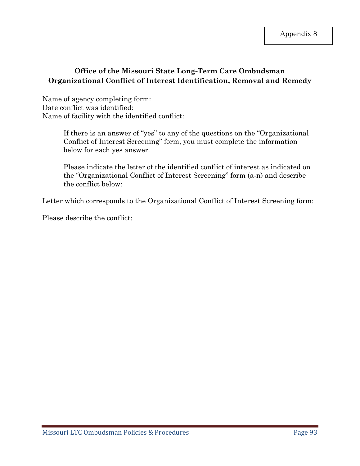Application of the contract of the contract of the contract of the contract of the contract of the contract of

## **Office of the Missouri State Long-Term Care Ombudsman Organizational Conflict of Interest Identification, Removal and Remedy**

Name of agency completing form: Date conflict was identified: Name of facility with the identified conflict:

> If there is an answer of "yes" to any of the questions on the "Organizational Conflict of Interest Screening" form, you must complete the information below for each yes answer.

> Please indicate the letter of the identified conflict of interest as indicated on the "Organizational Conflict of Interest Screening" form (a-n) and describe the conflict below:

Letter which corresponds to the Organizational Conflict of Interest Screening form:

Please describe the conflict: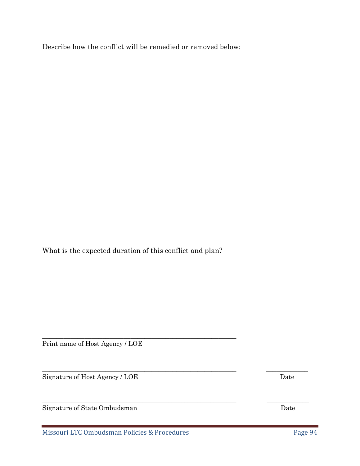Describe how the conflict will be remedied or removed below:

What is the expected duration of this conflict and plan?

\_\_\_\_\_\_\_\_\_\_\_\_\_\_\_\_\_\_\_\_\_\_\_\_\_\_\_\_\_\_\_\_\_\_\_\_\_\_\_\_\_\_\_\_\_\_\_\_\_\_\_\_\_\_\_

 $\_$  , and the contribution of the contribution of  $\mathcal{L}_\mathcal{A}$  , and the contribution of  $\mathcal{L}_\mathcal{A}$  , and

\_\_\_\_\_\_\_\_\_\_\_\_\_\_\_\_\_\_\_\_\_\_\_\_\_\_\_\_\_\_\_\_\_\_\_\_\_\_\_\_\_\_\_\_\_\_\_\_\_\_\_\_\_\_\_\_\_\_\_\_ \_\_\_\_\_\_\_\_\_\_\_\_\_

Print name of Host Agency / LOE

Signature of Host Agency / LOE Date

Signature of State Ombudsman Date

Missouri LTC Ombudsman Policies & Procedures Page 94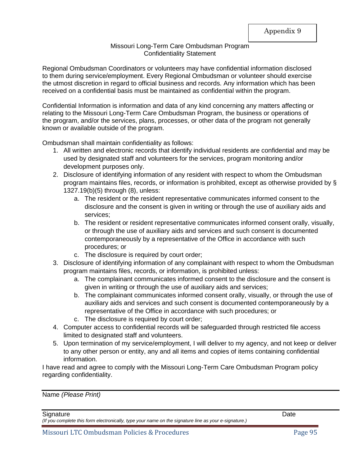#### Missouri Long-Term Care Ombudsman Program Confidentiality Statement

Regional Ombudsman Coordinators or volunteers may have confidential information disclosed to them during service/employment. Every Regional Ombudsman or volunteer should exercise the utmost discretion in regard to official business and records. Any information which has been received on a confidential basis must be maintained as confidential within the program.

Confidential Information is information and data of any kind concerning any matters affecting or relating to the Missouri Long-Term Care Ombudsman Program, the business or operations of the program, and/or the services, plans, processes, or other data of the program not generally known or available outside of the program.

Ombudsman shall maintain confidentiality as follows:

- 1. All written and electronic records that identify individual residents are confidential and may be used by designated staff and volunteers for the services, program monitoring and/or development purposes only.
- 2. Disclosure of identifying information of any resident with respect to whom the Ombudsman program maintains files, records, or information is prohibited, except as otherwise provided by § 1327.19(b)(5) through (8), unless:
	- a. The resident or the resident representative communicates informed consent to the disclosure and the consent is given in writing or through the use of auxiliary aids and services;
	- b. The resident or resident representative communicates informed consent orally, visually, or through the use of auxiliary aids and services and such consent is documented contemporaneously by a representative of the Office in accordance with such procedures; or
	- c. The disclosure is required by court order;
- 3. Disclosure of identifying information of any complainant with respect to whom the Ombudsman program maintains files, records, or information, is prohibited unless:
	- a. The complainant communicates informed consent to the disclosure and the consent is given in writing or through the use of auxiliary aids and services;
	- b. The complainant communicates informed consent orally, visually, or through the use of auxiliary aids and services and such consent is documented contemporaneously by a representative of the Office in accordance with such procedures; or
	- c. The disclosure is required by court order;
- 4. Computer access to confidential records will be safeguarded through restricted file access limited to designated staff and volunteers.
- 5. Upon termination of my service/employment, I will deliver to my agency, and not keep or deliver to any other person or entity, any and all items and copies of items containing confidential information.

I have read and agree to comply with the Missouri Long-Term Care Ombudsman Program policy regarding confidentiality.

Name *(Please Print)*

Signature Date **Date** 

*(If you complete this form electronically, type your name on the signature line as your e-signature.)*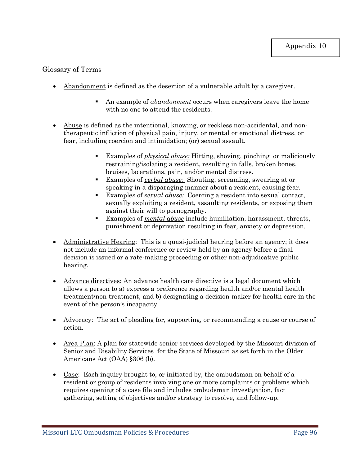## Glossary of Terms

- Abandonment is defined as the desertion of a vulnerable adult by a caregiver.
	- An example of *abandonment* occurs when caregivers leave the home with no one to attend the residents.
- Abuse is defined as the intentional, knowing, or reckless non-accidental, and nontherapeutic infliction of physical pain, injury, or mental or emotional distress, or fear, including coercion and intimidation; (or) sexual assault.
	- Examples of *physical abuse:* Hitting, shoving, pinching or maliciously restraining/isolating a resident, resulting in falls, broken bones, bruises, lacerations, pain, and/or mental distress.
	- Examples of *verbal abuse*: Shouting, screaming, swearing at or speaking in a disparaging manner about a resident, causing fear.
	- Examples of s*exual abuse:* Coercing a resident into sexual contact, sexually exploiting a resident, assaulting residents, or exposing them against their will to pornography.
	- Examples of *mental abuse* include humiliation, harassment, threats, punishment or deprivation resulting in fear, anxiety or depression.
- Administrative Hearing: This is a quasi-judicial hearing before an agency; it does not include an informal conference or review held by an agency before a final decision is issued or a rate-making proceeding or other non-adjudicative public hearing.
- Advance directives: An advance health care directive is a legal document which allows a person to a) express a preference regarding health and/or mental health treatment/non-treatment, and b) designating a decision-maker for health care in the event of the person's incapacity.
- Advocacy: The act of pleading for, supporting, or recommending a cause or course of action.
- Area Plan: A plan for statewide senior services developed by the Missouri division of Senior and Disability Services for the State of Missouri as set forth in the Older Americans Act (OAA) §306 (b).
- Case: Each inquiry brought to, or initiated by, the ombudsman on behalf of a resident or group of residents involving one or more complaints or problems which requires opening of a case file and includes ombudsman investigation, fact gathering, setting of objectives and/or strategy to resolve, and follow-up.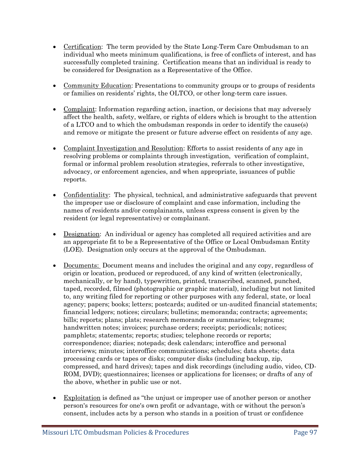- Certification: The term provided by the State Long-Term Care Ombudsman to an individual who meets minimum qualifications, is free of conflicts of interest, and has successfully completed training. Certification means that an individual is ready to be considered for Designation as a Representative of the Office.
- Community Education: Presentations to community groups or to groups of residents or families on residents' rights, the OLTCO, or other long-term care issues.
- Complaint: Information regarding action, inaction, or decisions that may adversely affect the health, safety, welfare, or rights of elders which is brought to the attention of a LTCO and to which the ombudsman responds in order to identify the cause(s) and remove or mitigate the present or future adverse effect on residents of any age.
- Complaint Investigation and Resolution: Efforts to assist residents of any age in resolving problems or complaints through investigation, verification of complaint, formal or informal problem resolution strategies, referrals to other investigative, advocacy, or enforcement agencies, and when appropriate, issuances of public reports.
- Confidentiality: The physical, technical, and administrative safeguards that prevent the improper use or disclosure of complaint and case information, including the names of residents and/or complainants, unless express consent is given by the resident (or legal representative) or complainant.
- Designation: An individual or agency has completed all required activities and are an appropriate fit to be a Representative of the Office or Local Ombudsman Entity (LOE). Designation only occurs at the approval of the Ombudsman.
- Documents: Document means and includes the original and any copy, regardless of origin or location, produced or reproduced, of any kind of written (electronically, mechanically, or by hand), typewritten, printed, transcribed, scanned, punched, taped, recorded, filmed (photographic or graphic material), including but not limited to, any writing filed for reporting or other purposes with any federal, state, or local agency; papers; books; letters; postcards; audited or un-audited financial statements; financial ledgers; notices; circulars; bulletins; memoranda; contracts; agreements; bills; reports; plans; plats; research memoranda or summaries; telegrams; handwritten notes; invoices; purchase orders; receipts; periodicals; notices; pamphlets; statements; reports; studies; telephone records or reports; correspondence; diaries; notepads; desk calendars; interoffice and personal interviews; minutes; interoffice communications; schedules; data sheets; data processing cards or tapes or disks; computer disks (including backup, zip, compressed, and hard drives); tapes and disk recordings (including audio, video, CD-ROM, DVD); questionnaires; licenses or applications for licenses; or drafts of any of the above, whether in public use or not.
- Exploitation is defined as "the unjust or improper use of another person or another person's resources for one's own profit or advantage, with or without the person's consent, includes acts by a person who stands in a position of trust or confidence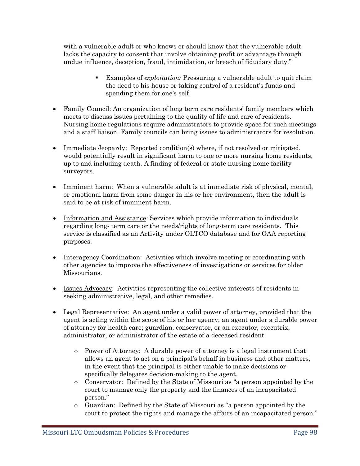with a vulnerable adult or who knows or should know that the vulnerable adult lacks the capacity to consent that involve obtaining profit or advantage through undue influence, deception, fraud, intimidation, or breach of fiduciary duty."

- Examples of *exploitation:* Pressuring a vulnerable adult to quit claim the deed to his house or taking control of a resident's funds and spending them for one's self.
- Family Council: An organization of long term care residents' family members which meets to discuss issues pertaining to the quality of life and care of residents. Nursing home regulations require administrators to provide space for such meetings and a staff liaison. Family councils can bring issues to administrators for resolution.
- Immediate Jeopardy: Reported condition(s) where, if not resolved or mitigated, would potentially result in significant harm to one or more nursing home residents, up to and including death. A finding of federal or state nursing home facility surveyors.
- Imminent harm: When a vulnerable adult is at immediate risk of physical, mental, or emotional harm from some danger in his or her environment, then the adult is said to be at risk of imminent harm.
- Information and Assistance: Services which provide information to individuals regarding long- term care or the needs/rights of long-term care residents. This service is classified as an Activity under OLTCO database and for OAA reporting purposes.
- Interagency Coordination: Activities which involve meeting or coordinating with other agencies to improve the effectiveness of investigations or services for older Missourians.
- Issues Advocacy: Activities representing the collective interests of residents in seeking administrative, legal, and other remedies.
- Legal Representative: An agent under a valid power of attorney, provided that the agent is acting within the scope of his or her agency; an agent under a durable power of attorney for health care; guardian, conservator, or an executor, executrix, administrator, or administrator of the estate of a deceased resident.
	- o Power of Attorney: A durable power of attorney is a legal instrument that allows an agent to act on a principal's behalf in business and other matters, in the event that the principal is either unable to make decisions or specifically delegates decision-making to the agent.
	- o Conservator: Defined by the State of Missouri as "a person appointed by the court to manage only the property and the finances of an incapacitated person."
	- o Guardian: Defined by the State of Missouri as "a person appointed by the court to protect the rights and manage the affairs of an incapacitated person."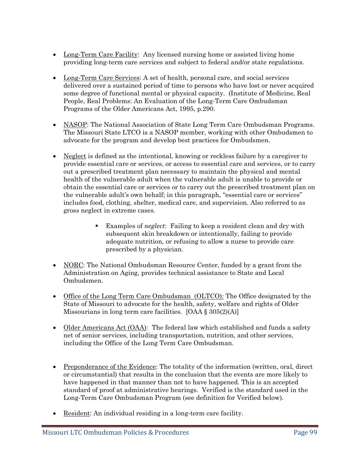- Long-Term Care Facility: Any licensed nursing home or assisted living home providing long-term care services and subject to federal and/or state regulations.
- Long-Term Care Services: A set of health, personal care, and social services delivered over a sustained period of time to persons who have lost or never acquired some degree of functional mental or physical capacity. (Institute of Medicine, Real People, Real Problems: An Evaluation of the Long-Term Care Ombudsman Programs of the Older Americans Act, 1995, p.290.
- NASOP: The National Association of State Long Term Care Ombudsman Programs. The Missouri State LTCO is a NASOP member, working with other Ombudsmen to advocate for the program and develop best practices for Ombudsmen.
- Neglect is defined as the intentional, knowing or reckless failure by a caregiver to provide essential care or services, or access to essential care and services, or to carry out a prescribed treatment plan necessary to maintain the physical and mental health of the vulnerable adult when the vulnerable adult is unable to provide or obtain the essential care or services or to carry out the prescribed treatment plan on the vulnerable adult's own behalf; in this paragraph, "essential care or services" includes food, clothing, shelter, medical care, and supervision. Also referred to as gross neglect in extreme cases.
	- Examples of *neglect*: Failing to keep a resident clean and dry with subsequent skin breakdown or intentionally, failing to provide adequate nutrition, or refusing to allow a nurse to provide care prescribed by a physician.
- NORC: The National Ombudsman Resource Center, funded by a grant from the Administration on Aging, provides technical assistance to State and Local Ombudsmen.
- Office of the Long Term Care Ombudsman (OLTCO): The Office designated by the State of Missouri to advocate for the health, safety, welfare and rights of Older Missourians in long term care facilities.  $[OAA \$   $305(2)(A)]$
- Older Americans Act (OAA): The federal law which established and funds a safety net of senior services, including transportation, nutrition, and other services, including the Office of the Long Term Care Ombudsman.
- Preponderance of the Evidence: The totality of the information (written, oral, direct or circumstantial) that results in the conclusion that the events are more likely to have happened in that manner than not to have happened. This is an accepted standard of proof at administrative hearings. Verified is the standard used in the Long-Term Care Ombudsman Program (see definition for Verified below).
- Resident: An individual residing in a long-term care facility.